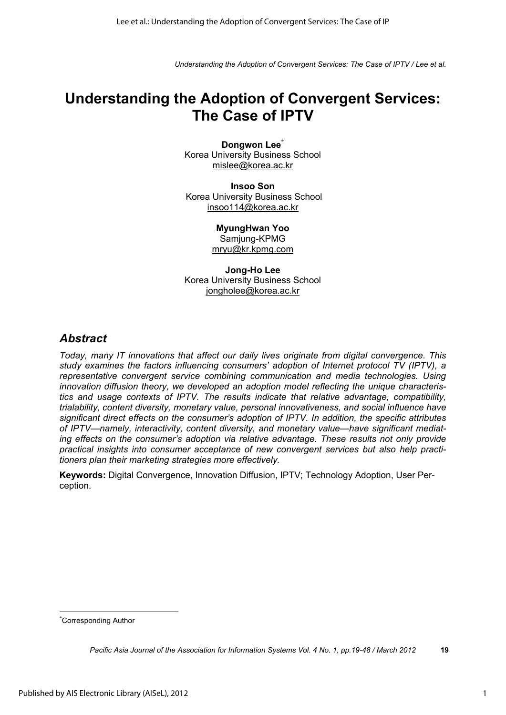# **Understanding the Adoption of Convergent Services: The Case of IPTV**

**Dongwon Lee\*** Korea University Business School mislee@korea.ac.kr

**Insoo Son**  Korea University Business School insoo114@korea.ac.kr

> **MyungHwan Yoo**  Samjung-KPMG mryu@kr.kpmg.com

**Jong-Ho Lee**  Korea University Business School jongholee@korea.ac.kr

### *Abstract*

*Today, many IT innovations that affect our daily lives originate from digital convergence. This study examines the factors influencing consumers' adoption of Internet protocol TV (IPTV), a representative convergent service combining communication and media technologies. Using innovation diffusion theory, we developed an adoption model reflecting the unique characteristics and usage contexts of IPTV. The results indicate that relative advantage, compatibility, trialability, content diversity, monetary value, personal innovativeness, and social influence have significant direct effects on the consumer's adoption of IPTV. In addition, the specific attributes of IPTV—namely, interactivity, content diversity, and monetary value—have significant mediating effects on the consumer's adoption via relative advantage. These results not only provide practical insights into consumer acceptance of new convergent services but also help practitioners plan their marketing strategies more effectively.* 

**Keywords:** Digital Convergence, Innovation Diffusion, IPTV; Technology Adoption, User Perception.

 $\overline{a}$ \* Corresponding Author

*Pacific Asia Journal of the Association for Information Systems Vol. 4 No. 1, pp.19-48 / March 2012* **19**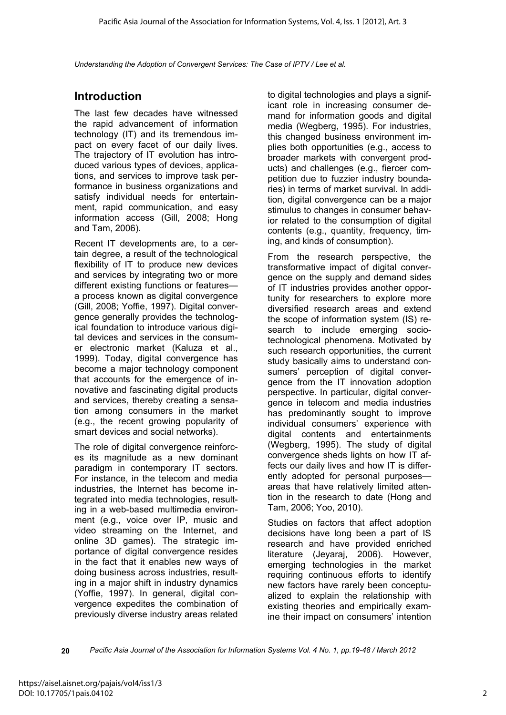# **Introduction**

The last few decades have witnessed the rapid advancement of information technology (IT) and its tremendous impact on every facet of our daily lives. The trajectory of IT evolution has introduced various types of devices, applications, and services to improve task performance in business organizations and satisfy individual needs for entertainment, rapid communication, and easy information access (Gill, 2008; Hong and Tam, 2006).

Recent IT developments are, to a certain degree, a result of the technological flexibility of IT to produce new devices and services by integrating two or more different existing functions or features a process known as digital convergence (Gill, 2008; Yoffie, 1997). Digital convergence generally provides the technological foundation to introduce various digital devices and services in the consumer electronic market (Kaluza et al., 1999). Today, digital convergence has become a major technology component that accounts for the emergence of innovative and fascinating digital products and services, thereby creating a sensation among consumers in the market (e.g., the recent growing popularity of smart devices and social networks).

The role of digital convergence reinforces its magnitude as a new dominant paradigm in contemporary IT sectors. For instance, in the telecom and media industries, the Internet has become integrated into media technologies, resulting in a web-based multimedia environment (e.g., voice over IP, music and video streaming on the Internet, and online 3D games). The strategic importance of digital convergence resides in the fact that it enables new ways of doing business across industries, resulting in a major shift in industry dynamics (Yoffie, 1997). In general, digital convergence expedites the combination of previously diverse industry areas related

to digital technologies and plays a significant role in increasing consumer demand for information goods and digital media (Wegberg, 1995). For industries, this changed business environment implies both opportunities (e.g., access to broader markets with convergent products) and challenges (e.g., fiercer competition due to fuzzier industry boundaries) in terms of market survival. In addition, digital convergence can be a major stimulus to changes in consumer behavior related to the consumption of digital contents (e.g., quantity, frequency, timing, and kinds of consumption).

From the research perspective, the transformative impact of digital convergence on the supply and demand sides of IT industries provides another opportunity for researchers to explore more diversified research areas and extend the scope of information system (IS) research to include emerging sociotechnological phenomena. Motivated by such research opportunities, the current study basically aims to understand consumers' perception of digital convergence from the IT innovation adoption perspective. In particular, digital convergence in telecom and media industries has predominantly sought to improve individual consumers' experience with digital contents and entertainments (Wegberg, 1995). The study of digital convergence sheds lights on how IT affects our daily lives and how IT is differently adopted for personal purposes areas that have relatively limited attention in the research to date (Hong and Tam, 2006; Yoo, 2010).

Studies on factors that affect adoption decisions have long been a part of IS research and have provided enriched literature (Jeyaraj, 2006). However, emerging technologies in the market requiring continuous efforts to identify new factors have rarely been conceptualized to explain the relationship with existing theories and empirically examine their impact on consumers' intention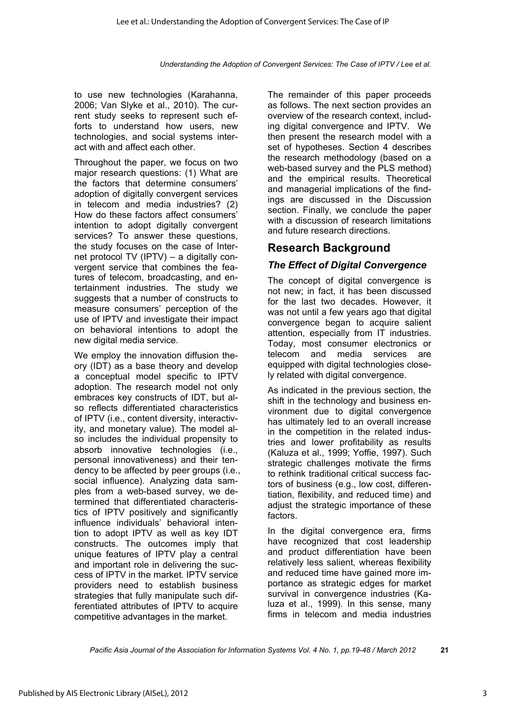to use new technologies (Karahanna, 2006; Van Slyke et al., 2010). The current study seeks to represent such efforts to understand how users, new technologies, and social systems interact with and affect each other.

Throughout the paper, we focus on two major research questions: (1) What are the factors that determine consumers' adoption of digitally convergent services in telecom and media industries? (2) How do these factors affect consumers' intention to adopt digitally convergent services? To answer these questions, the study focuses on the case of Internet protocol TV (IPTV) – a digitally convergent service that combines the features of telecom, broadcasting, and entertainment industries. The study we suggests that a number of constructs to measure consumers' perception of the use of IPTV and investigate their impact on behavioral intentions to adopt the new digital media service.

We employ the innovation diffusion theory (IDT) as a base theory and develop a conceptual model specific to IPTV adoption. The research model not only embraces key constructs of IDT, but also reflects differentiated characteristics of IPTV (i.e., content diversity, interactivity, and monetary value). The model also includes the individual propensity to absorb innovative technologies (i.e., personal innovativeness) and their tendency to be affected by peer groups (i.e., social influence). Analyzing data samples from a web-based survey, we determined that differentiated characteristics of IPTV positively and significantly influence individuals' behavioral intention to adopt IPTV as well as key IDT constructs. The outcomes imply that unique features of IPTV play a central and important role in delivering the success of IPTV in the market. IPTV service providers need to establish business strategies that fully manipulate such differentiated attributes of IPTV to acquire competitive advantages in the market.

The remainder of this paper proceeds as follows. The next section provides an overview of the research context, including digital convergence and IPTV. We then present the research model with a set of hypotheses. Section 4 describes the research methodology (based on a web-based survey and the PLS method) and the empirical results. Theoretical and managerial implications of the findings are discussed in the Discussion section. Finally, we conclude the paper with a discussion of research limitations and future research directions.

# **Research Background**

# *The Effect of Digital Convergence*

The concept of digital convergence is not new; in fact, it has been discussed for the last two decades. However, it was not until a few years ago that digital convergence began to acquire salient attention, especially from IT industries. Today, most consumer electronics or telecom and media services are equipped with digital technologies closely related with digital convergence.

As indicated in the previous section, the shift in the technology and business environment due to digital convergence has ultimately led to an overall increase in the competition in the related industries and lower profitability as results (Kaluza et al., 1999; Yoffie, 1997). Such strategic challenges motivate the firms to rethink traditional critical success factors of business (e.g., low cost, differentiation, flexibility, and reduced time) and adjust the strategic importance of these factors.

In the digital convergence era, firms have recognized that cost leadership and product differentiation have been relatively less salient, whereas flexibility and reduced time have gained more importance as strategic edges for market survival in convergence industries (Kaluza et al., 1999). In this sense, many firms in telecom and media industries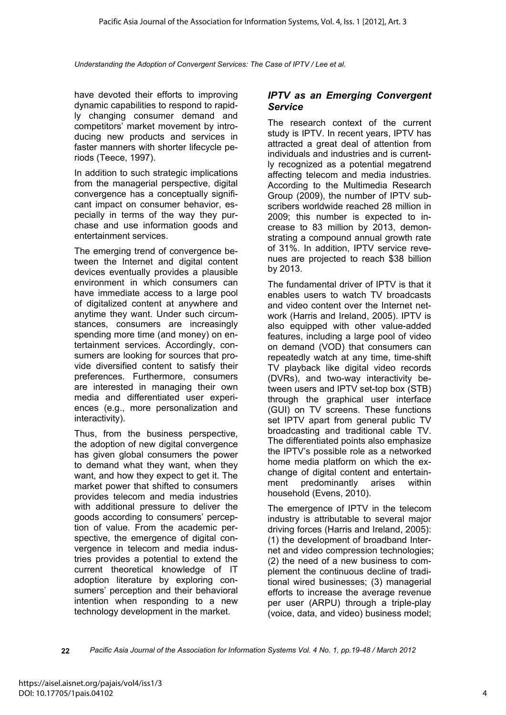have devoted their efforts to improving dynamic capabilities to respond to rapidly changing consumer demand and competitors' market movement by introducing new products and services in faster manners with shorter lifecycle periods (Teece, 1997).

In addition to such strategic implications from the managerial perspective, digital convergence has a conceptually significant impact on consumer behavior, especially in terms of the way they purchase and use information goods and entertainment services.

The emerging trend of convergence between the Internet and digital content devices eventually provides a plausible environment in which consumers can have immediate access to a large pool of digitalized content at anywhere and anytime they want. Under such circumstances, consumers are increasingly spending more time (and money) on entertainment services. Accordingly, consumers are looking for sources that provide diversified content to satisfy their preferences. Furthermore, consumers are interested in managing their own media and differentiated user experiences (e.g., more personalization and interactivity).

Thus, from the business perspective, the adoption of new digital convergence has given global consumers the power to demand what they want, when they want, and how they expect to get it. The market power that shifted to consumers provides telecom and media industries with additional pressure to deliver the goods according to consumers' perception of value. From the academic perspective, the emergence of digital convergence in telecom and media industries provides a potential to extend the current theoretical knowledge of IT adoption literature by exploring consumers' perception and their behavioral intention when responding to a new technology development in the market.

#### *IPTV as an Emerging Convergent Service*

The research context of the current study is IPTV. In recent years, IPTV has attracted a great deal of attention from individuals and industries and is currently recognized as a potential megatrend affecting telecom and media industries. According to the Multimedia Research Group (2009), the number of IPTV subscribers worldwide reached 28 million in 2009; this number is expected to increase to 83 million by 2013, demonstrating a compound annual growth rate of 31%. In addition, IPTV service revenues are projected to reach \$38 billion by 2013.

The fundamental driver of IPTV is that it enables users to watch TV broadcasts and video content over the Internet network (Harris and Ireland, 2005). IPTV is also equipped with other value-added features, including a large pool of video on demand (VOD) that consumers can repeatedly watch at any time, time-shift TV playback like digital video records (DVRs), and two-way interactivity between users and IPTV set-top box (STB) through the graphical user interface (GUI) on TV screens. These functions set IPTV apart from general public TV broadcasting and traditional cable TV. The differentiated points also emphasize the IPTV's possible role as a networked home media platform on which the exchange of digital content and entertainment predominantly arises within household (Evens, 2010).

The emergence of IPTV in the telecom industry is attributable to several major driving forces (Harris and Ireland, 2005): (1) the development of broadband Internet and video compression technologies; (2) the need of a new business to complement the continuous decline of traditional wired businesses; (3) managerial efforts to increase the average revenue per user (ARPU) through a triple-play (voice, data, and video) business model;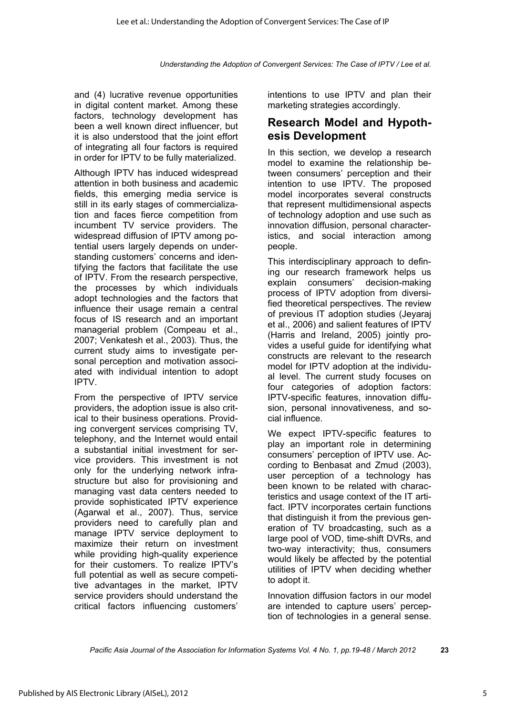and (4) lucrative revenue opportunities in digital content market. Among these factors, technology development has been a well known direct influencer, but it is also understood that the joint effort of integrating all four factors is required in order for IPTV to be fully materialized.

Although IPTV has induced widespread attention in both business and academic fields, this emerging media service is still in its early stages of commercialization and faces fierce competition from incumbent TV service providers. The widespread diffusion of IPTV among potential users largely depends on understanding customers' concerns and identifying the factors that facilitate the use of IPTV. From the research perspective, the processes by which individuals adopt technologies and the factors that influence their usage remain a central focus of IS research and an important managerial problem (Compeau et al., 2007; Venkatesh et al., 2003). Thus, the current study aims to investigate personal perception and motivation associated with individual intention to adopt IPTV.

From the perspective of IPTV service providers, the adoption issue is also critical to their business operations. Providing convergent services comprising TV, telephony, and the Internet would entail a substantial initial investment for service providers. This investment is not only for the underlying network infrastructure but also for provisioning and managing vast data centers needed to provide sophisticated IPTV experience (Agarwal et al., 2007). Thus, service providers need to carefully plan and manage IPTV service deployment to maximize their return on investment while providing high-quality experience for their customers. To realize IPTV's full potential as well as secure competitive advantages in the market, IPTV service providers should understand the critical factors influencing customers'

intentions to use IPTV and plan their marketing strategies accordingly.

## **Research Model and Hypothesis Development**

In this section, we develop a research model to examine the relationship between consumers' perception and their intention to use IPTV. The proposed model incorporates several constructs that represent multidimensional aspects of technology adoption and use such as innovation diffusion, personal characteristics, and social interaction among people.

This interdisciplinary approach to defining our research framework helps us explain consumers' decision-making process of IPTV adoption from diversified theoretical perspectives. The review of previous IT adoption studies (Jeyaraj et al., 2006) and salient features of IPTV (Harris and Ireland, 2005) jointly provides a useful guide for identifying what constructs are relevant to the research model for IPTV adoption at the individual level. The current study focuses on four categories of adoption factors: IPTV-specific features, innovation diffusion, personal innovativeness, and social influence.

We expect IPTV-specific features to play an important role in determining consumers' perception of IPTV use. According to Benbasat and Zmud (2003), user perception of a technology has been known to be related with characteristics and usage context of the IT artifact. IPTV incorporates certain functions that distinguish it from the previous generation of TV broadcasting, such as a large pool of VOD, time-shift DVRs, and two-way interactivity; thus, consumers would likely be affected by the potential utilities of IPTV when deciding whether to adopt it.

Innovation diffusion factors in our model are intended to capture users' perception of technologies in a general sense.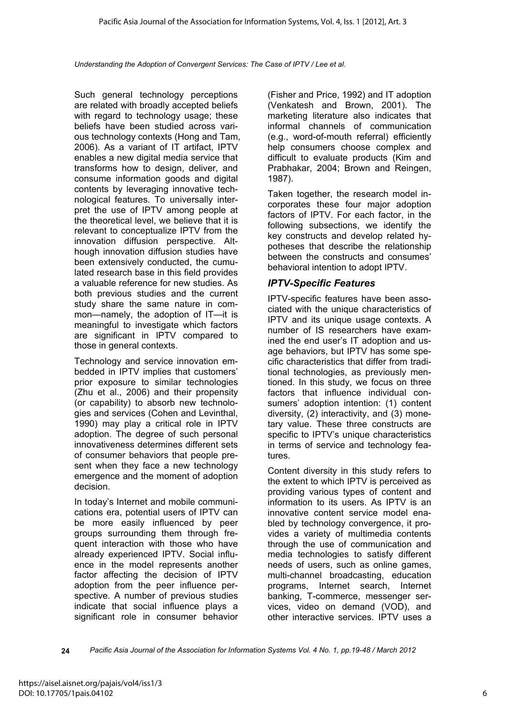Such general technology perceptions are related with broadly accepted beliefs with regard to technology usage; these beliefs have been studied across various technology contexts (Hong and Tam, 2006). As a variant of IT artifact, IPTV enables a new digital media service that transforms how to design, deliver, and consume information goods and digital contents by leveraging innovative technological features. To universally interpret the use of IPTV among people at the theoretical level, we believe that it is relevant to conceptualize IPTV from the innovation diffusion perspective. Although innovation diffusion studies have been extensively conducted, the cumulated research base in this field provides a valuable reference for new studies. As both previous studies and the current study share the same nature in common—namely, the adoption of IT—it is meaningful to investigate which factors are significant in IPTV compared to those in general contexts.

Technology and service innovation embedded in IPTV implies that customers' prior exposure to similar technologies (Zhu et al., 2006) and their propensity (or capability) to absorb new technologies and services (Cohen and Levinthal, 1990) may play a critical role in IPTV adoption. The degree of such personal innovativeness determines different sets of consumer behaviors that people present when they face a new technology emergence and the moment of adoption decision.

In today's Internet and mobile communications era, potential users of IPTV can be more easily influenced by peer groups surrounding them through frequent interaction with those who have already experienced IPTV. Social influence in the model represents another factor affecting the decision of IPTV adoption from the peer influence perspective. A number of previous studies indicate that social influence plays a significant role in consumer behavior

(Fisher and Price, 1992) and IT adoption (Venkatesh and Brown, 2001). The marketing literature also indicates that informal channels of communication (e.g., word-of-mouth referral) efficiently help consumers choose complex and difficult to evaluate products (Kim and Prabhakar, 2004; Brown and Reingen, 1987).

Taken together, the research model incorporates these four major adoption factors of IPTV. For each factor, in the following subsections, we identify the key constructs and develop related hypotheses that describe the relationship between the constructs and consumes' behavioral intention to adopt IPTV.

### *IPTV-Specific Features*

IPTV-specific features have been associated with the unique characteristics of IPTV and its unique usage contexts. A number of IS researchers have examined the end user's IT adoption and usage behaviors, but IPTV has some specific characteristics that differ from traditional technologies, as previously mentioned. In this study, we focus on three factors that influence individual consumers' adoption intention: (1) content diversity, (2) interactivity, and (3) monetary value. These three constructs are specific to IPTV's unique characteristics in terms of service and technology features.

Content diversity in this study refers to the extent to which IPTV is perceived as providing various types of content and information to its users. As IPTV is an innovative content service model enabled by technology convergence, it provides a variety of multimedia contents through the use of communication and media technologies to satisfy different needs of users, such as online games, multi-channel broadcasting, education programs, Internet search, Internet banking, T-commerce, messenger services, video on demand (VOD), and other interactive services. IPTV uses a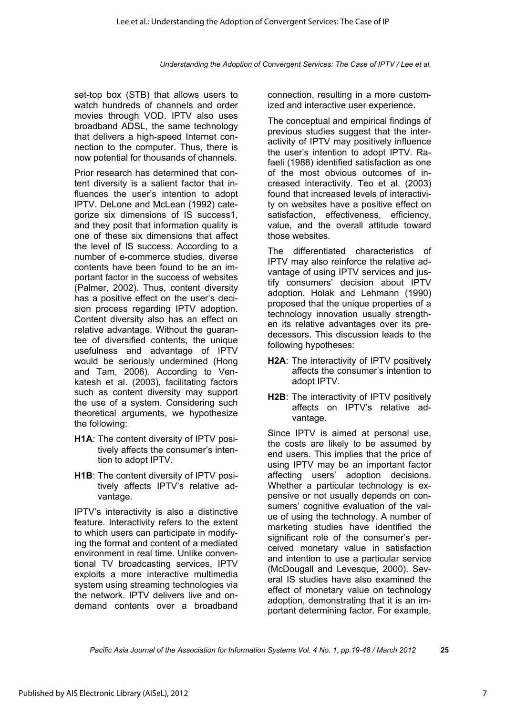set-top box (STB) that allows users to watch hundreds of channels and order movies through VOD. IPTV also uses broadband ADSL, the same technology that delivers a high-speed Internet connection to the computer. Thus, there is now potential for thousands of channels.

Prior research has determined that content diversity is a salient factor that influences the user's intention to adopt IPTV. DeLone and McLean (1992) categorize six dimensions of IS success1, and they posit that information quality is one of these six dimensions that affect the level of IS success. According to a number of e-commerce studies, diverse contents have been found to be an important factor in the success of websites (Palmer, 2002). Thus, content diversity has a positive effect on the user's decision process regarding IPTV adoption. Content diversity also has an effect on relative advantage. Without the guarantee of diversified contents, the unique usefulness and advantage of IPTV would be seriously undermined (Hong and Tam, 2006). According to Venkatesh et al. (2003), facilitating factors such as content diversity may support the use of a system. Considering such theoretical arguments, we hypothesize the following:

- **H1A**: The content diversity of IPTV positively affects the consumer's intention to adopt IPTV.
- **H1B**: The content diversity of IPTV positively affects IPTV's relative advantage.

IPTV's interactivity is also a distinctive feature. Interactivity refers to the extent to which users can participate in modifying the format and content of a mediated environment in real time. Unlike conventional TV broadcasting services, IPTV exploits a more interactive multimedia system using streaming technologies via the network. IPTV delivers live and ondemand contents over a broadband

connection, resulting in a more customized and interactive user experience.

The conceptual and empirical findings of previous studies suggest that the interactivity of IPTV may positively influence the user's intention to adopt IPTV. Rafaeli (1988) identified satisfaction as one of the most obvious outcomes of increased interactivity. Teo et al. (2003) found that increased levels of interactivity on websites have a positive effect on satisfaction, effectiveness, efficiency, value, and the overall attitude toward those websites.

The differentiated characteristics of IPTV may also reinforce the relative advantage of using IPTV services and justify consumers' decision about IPTV adoption. Holak and Lehmann (1990) proposed that the unique properties of a technology innovation usually strengthen its relative advantages over its predecessors. This discussion leads to the following hypotheses:

- **H2A**: The interactivity of IPTV positively affects the consumer's intention to adopt IPTV.
- **H2B**: The interactivity of IPTV positively affects on IPTV's relative advantage.

Since IPTV is aimed at personal use, the costs are likely to be assumed by end users. This implies that the price of using IPTV may be an important factor affecting users' adoption decisions. Whether a particular technology is expensive or not usually depends on consumers' cognitive evaluation of the value of using the technology. A number of marketing studies have identified the significant role of the consumer's perceived monetary value in satisfaction and intention to use a particular service (McDougall and Levesque, 2000). Several IS studies have also examined the effect of monetary value on technology adoption, demonstrating that it is an important determining factor. For example,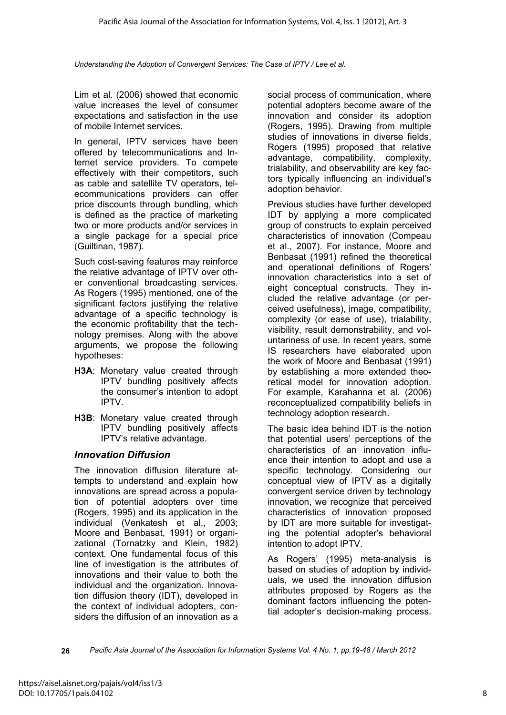Lim et al. (2006) showed that economic value increases the level of consumer expectations and satisfaction in the use of mobile Internet services.

In general, IPTV services have been offered by telecommunications and Internet service providers. To compete effectively with their competitors, such as cable and satellite TV operators, telecommunications providers can offer price discounts through bundling, which is defined as the practice of marketing two or more products and/or services in a single package for a special price (Guiltinan, 1987).

Such cost-saving features may reinforce the relative advantage of IPTV over other conventional broadcasting services. As Rogers (1995) mentioned, one of the significant factors justifying the relative advantage of a specific technology is the economic profitability that the technology premises. Along with the above arguments, we propose the following hypotheses:

- **H3A**: Monetary value created through IPTV bundling positively affects the consumer's intention to adopt IPTV.
- **H3B**: Monetary value created through IPTV bundling positively affects IPTV's relative advantage.

#### *Innovation Diffusion*

The innovation diffusion literature attempts to understand and explain how innovations are spread across a population of potential adopters over time (Rogers, 1995) and its application in the individual (Venkatesh et al., 2003; Moore and Benbasat, 1991) or organizational (Tornatzky and Klein, 1982) context. One fundamental focus of this line of investigation is the attributes of innovations and their value to both the individual and the organization. Innovation diffusion theory (IDT), developed in the context of individual adopters, considers the diffusion of an innovation as a

social process of communication, where potential adopters become aware of the innovation and consider its adoption (Rogers, 1995). Drawing from multiple studies of innovations in diverse fields, Rogers (1995) proposed that relative advantage, compatibility, complexity, trialability, and observability are key factors typically influencing an individual's adoption behavior.

Previous studies have further developed IDT by applying a more complicated group of constructs to explain perceived characteristics of innovation (Compeau et al., 2007). For instance, Moore and Benbasat (1991) refined the theoretical and operational definitions of Rogers' innovation characteristics into a set of eight conceptual constructs. They included the relative advantage (or perceived usefulness), image, compatibility, complexity (or ease of use), trialability, visibility, result demonstrability, and voluntariness of use. In recent years, some IS researchers have elaborated upon the work of Moore and Benbasat (1991) by establishing a more extended theoretical model for innovation adoption. For example, Karahanna et al. (2006) reconceptualized compatibility beliefs in technology adoption research.

The basic idea behind IDT is the notion that potential users' perceptions of the characteristics of an innovation influence their intention to adopt and use a specific technology. Considering our conceptual view of IPTV as a digitally convergent service driven by technology innovation, we recognize that perceived characteristics of innovation proposed by IDT are more suitable for investigating the potential adopter's behavioral intention to adopt IPTV.

As Rogers' (1995) meta-analysis is based on studies of adoption by individuals, we used the innovation diffusion attributes proposed by Rogers as the dominant factors influencing the potential adopter's decision-making process.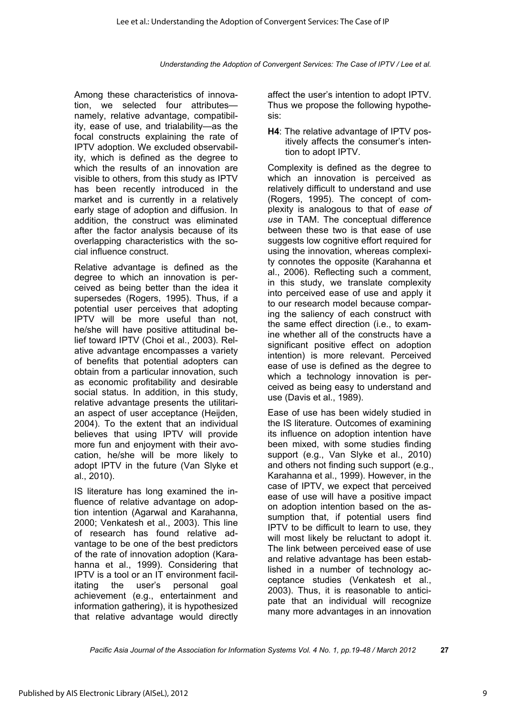Among these characteristics of innovation, we selected four attributes namely, relative advantage, compatibility, ease of use, and trialability—as the focal constructs explaining the rate of IPTV adoption. We excluded observability, which is defined as the degree to which the results of an innovation are visible to others, from this study as IPTV has been recently introduced in the market and is currently in a relatively early stage of adoption and diffusion. In addition, the construct was eliminated after the factor analysis because of its overlapping characteristics with the social influence construct.

Relative advantage is defined as the degree to which an innovation is perceived as being better than the idea it supersedes (Rogers, 1995). Thus, if a potential user perceives that adopting IPTV will be more useful than not, he/she will have positive attitudinal belief toward IPTV (Choi et al., 2003). Relative advantage encompasses a variety of benefits that potential adopters can obtain from a particular innovation, such as economic profitability and desirable social status. In addition, in this study, relative advantage presents the utilitarian aspect of user acceptance (Heijden, 2004). To the extent that an individual believes that using IPTV will provide more fun and enjoyment with their avocation, he/she will be more likely to adopt IPTV in the future (Van Slyke et al., 2010).

IS literature has long examined the influence of relative advantage on adoption intention (Agarwal and Karahanna, 2000; Venkatesh et al., 2003). This line of research has found relative advantage to be one of the best predictors of the rate of innovation adoption (Karahanna et al., 1999). Considering that IPTV is a tool or an IT environment facilitating the user's personal goal achievement (e.g., entertainment and information gathering), it is hypothesized that relative advantage would directly

affect the user's intention to adopt IPTV. Thus we propose the following hypothesis:

**H4**: The relative advantage of IPTV positively affects the consumer's intention to adopt IPTV.

Complexity is defined as the degree to which an innovation is perceived as relatively difficult to understand and use (Rogers, 1995). The concept of complexity is analogous to that of *ease of use* in TAM. The conceptual difference between these two is that ease of use suggests low cognitive effort required for using the innovation, whereas complexity connotes the opposite (Karahanna et al., 2006). Reflecting such a comment, in this study, we translate complexity into perceived ease of use and apply it to our research model because comparing the saliency of each construct with the same effect direction (i.e., to examine whether all of the constructs have a significant positive effect on adoption intention) is more relevant. Perceived ease of use is defined as the degree to which a technology innovation is perceived as being easy to understand and use (Davis et al., 1989).

Ease of use has been widely studied in the IS literature. Outcomes of examining its influence on adoption intention have been mixed, with some studies finding support (e.g., Van Slyke et al., 2010) and others not finding such support (e.g., Karahanna et al., 1999). However, in the case of IPTV, we expect that perceived ease of use will have a positive impact on adoption intention based on the assumption that, if potential users find IPTV to be difficult to learn to use, they will most likely be reluctant to adopt it. The link between perceived ease of use and relative advantage has been established in a number of technology acceptance studies (Venkatesh et al., 2003). Thus, it is reasonable to anticipate that an individual will recognize many more advantages in an innovation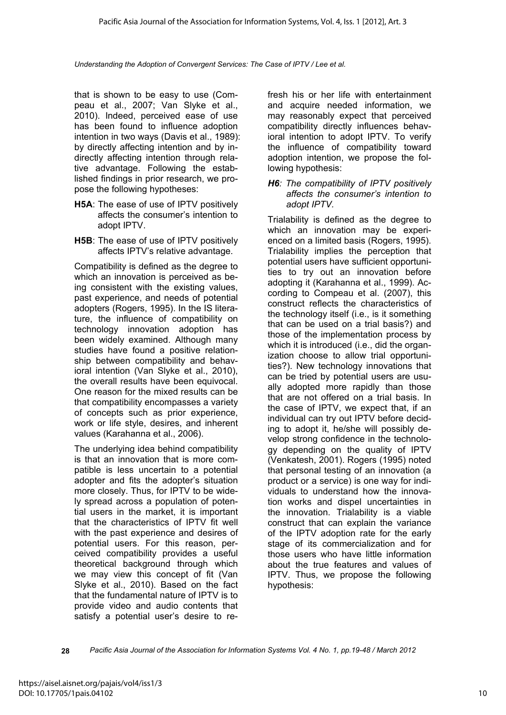that is shown to be easy to use (Compeau et al., 2007; Van Slyke et al., 2010). Indeed, perceived ease of use has been found to influence adoption intention in two ways (Davis et al., 1989): by directly affecting intention and by indirectly affecting intention through relative advantage. Following the established findings in prior research, we propose the following hypotheses:

- **H5A**: The ease of use of IPTV positively affects the consumer's intention to adopt IPTV.
- **H5B**: The ease of use of IPTV positively affects IPTV's relative advantage.

Compatibility is defined as the degree to which an innovation is perceived as being consistent with the existing values, past experience, and needs of potential adopters (Rogers, 1995). In the IS literature, the influence of compatibility on technology innovation adoption has been widely examined. Although many studies have found a positive relationship between compatibility and behavioral intention (Van Slyke et al., 2010), the overall results have been equivocal. One reason for the mixed results can be that compatibility encompasses a variety of concepts such as prior experience, work or life style, desires, and inherent values (Karahanna et al., 2006).

The underlying idea behind compatibility is that an innovation that is more compatible is less uncertain to a potential adopter and fits the adopter's situation more closely. Thus, for IPTV to be widely spread across a population of potential users in the market, it is important that the characteristics of IPTV fit well with the past experience and desires of potential users. For this reason, perceived compatibility provides a useful theoretical background through which we may view this concept of fit (Van Slyke et al., 2010). Based on the fact that the fundamental nature of IPTV is to provide video and audio contents that satisfy a potential user's desire to refresh his or her life with entertainment and acquire needed information, we may reasonably expect that perceived compatibility directly influences behavioral intention to adopt IPTV. To verify the influence of compatibility toward adoption intention, we propose the following hypothesis:

*H6: The compatibility of IPTV positively affects the consumer's intention to adopt IPTV.* 

Trialability is defined as the degree to which an innovation may be experienced on a limited basis (Rogers, 1995). Trialability implies the perception that potential users have sufficient opportunities to try out an innovation before adopting it (Karahanna et al., 1999). According to Compeau et al. (2007), this construct reflects the characteristics of the technology itself (i.e., is it something that can be used on a trial basis?) and those of the implementation process by which it is introduced (i.e., did the organization choose to allow trial opportunities?). New technology innovations that can be tried by potential users are usually adopted more rapidly than those that are not offered on a trial basis. In the case of IPTV, we expect that, if an individual can try out IPTV before deciding to adopt it, he/she will possibly develop strong confidence in the technology depending on the quality of IPTV (Venkatesh, 2001). Rogers (1995) noted that personal testing of an innovation (a product or a service) is one way for individuals to understand how the innovation works and dispel uncertainties in the innovation. Trialability is a viable construct that can explain the variance of the IPTV adoption rate for the early stage of its commercialization and for those users who have little information about the true features and values of IPTV. Thus, we propose the following hypothesis: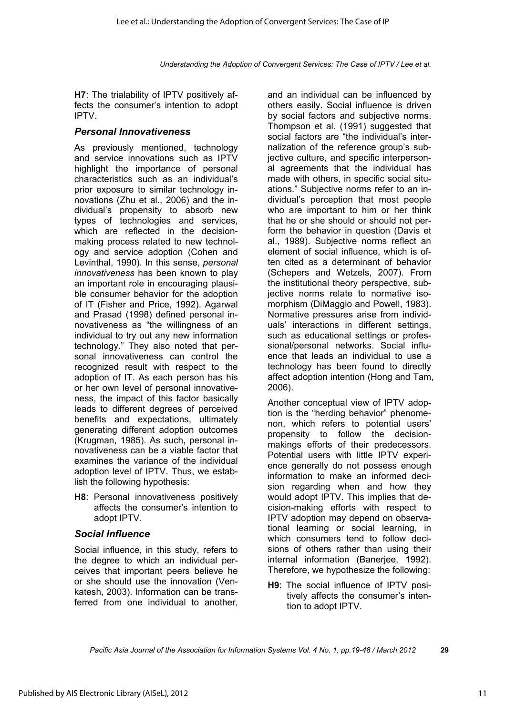**H7**: The trialability of IPTV positively affects the consumer's intention to adopt IPTV.

#### *Personal Innovativeness*

As previously mentioned, technology and service innovations such as IPTV highlight the importance of personal characteristics such as an individual's prior exposure to similar technology innovations (Zhu et al., 2006) and the individual's propensity to absorb new types of technologies and services, which are reflected in the decisionmaking process related to new technology and service adoption (Cohen and Levinthal, 1990). In this sense, *personal innovativeness* has been known to play an important role in encouraging plausible consumer behavior for the adoption of IT (Fisher and Price, 1992). Agarwal and Prasad (1998) defined personal innovativeness as "the willingness of an individual to try out any new information technology." They also noted that personal innovativeness can control the recognized result with respect to the adoption of IT. As each person has his or her own level of personal innovativeness, the impact of this factor basically leads to different degrees of perceived benefits and expectations, ultimately generating different adoption outcomes (Krugman, 1985). As such, personal innovativeness can be a viable factor that examines the variance of the individual adoption level of IPTV. Thus, we establish the following hypothesis:

**H8**: Personal innovativeness positively affects the consumer's intention to adopt IPTV.

#### *Social Influence*

Social influence, in this study, refers to the degree to which an individual perceives that important peers believe he or she should use the innovation (Venkatesh, 2003). Information can be transferred from one individual to another,

and an individual can be influenced by others easily. Social influence is driven by social factors and subjective norms. Thompson et al. (1991) suggested that social factors are "the individual's internalization of the reference group's subjective culture, and specific interpersonal agreements that the individual has made with others, in specific social situations." Subjective norms refer to an individual's perception that most people who are important to him or her think that he or she should or should not perform the behavior in question (Davis et al., 1989). Subjective norms reflect an element of social influence, which is often cited as a determinant of behavior (Schepers and Wetzels, 2007). From the institutional theory perspective, subjective norms relate to normative isomorphism (DiMaggio and Powell, 1983). Normative pressures arise from individuals' interactions in different settings, such as educational settings or professional/personal networks. Social influence that leads an individual to use a technology has been found to directly affect adoption intention (Hong and Tam, 2006).

Another conceptual view of IPTV adoption is the "herding behavior" phenomenon, which refers to potential users' propensity to follow the decisionmakings efforts of their predecessors. Potential users with little IPTV experience generally do not possess enough information to make an informed decision regarding when and how they would adopt IPTV. This implies that decision-making efforts with respect to IPTV adoption may depend on observational learning or social learning, in which consumers tend to follow decisions of others rather than using their internal information (Banerjee, 1992). Therefore, we hypothesize the following:

**H9**: The social influence of IPTV positively affects the consumer's intention to adopt IPTV.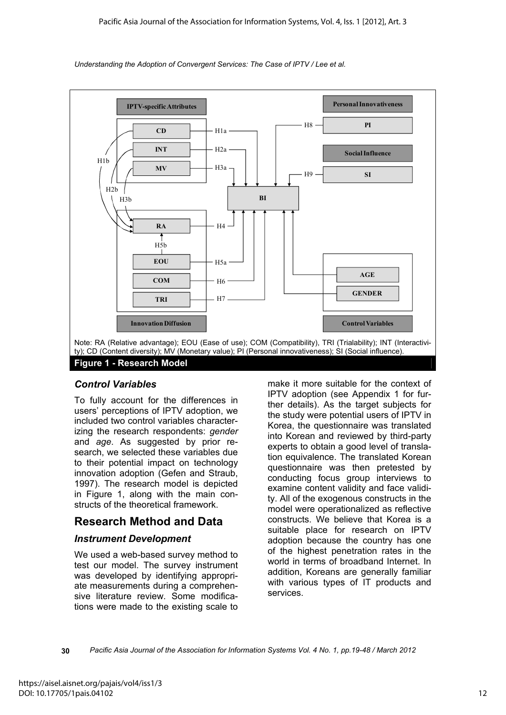

### *Control Variables*

To fully account for the differences in users' perceptions of IPTV adoption, we included two control variables characterizing the research respondents: *gender* and *age*. As suggested by prior research, we selected these variables due to their potential impact on technology innovation adoption (Gefen and Straub, 1997). The research model is depicted in Figure 1, along with the main constructs of the theoretical framework.

# **Research Method and Data**

### *Instrument Development*

We used a web-based survey method to test our model. The survey instrument was developed by identifying appropriate measurements during a comprehensive literature review. Some modifications were made to the existing scale to

make it more suitable for the context of IPTV adoption (see Appendix 1 for further details). As the target subjects for the study were potential users of IPTV in Korea, the questionnaire was translated into Korean and reviewed by third-party experts to obtain a good level of translation equivalence. The translated Korean questionnaire was then pretested by conducting focus group interviews to examine content validity and face validity. All of the exogenous constructs in the model were operationalized as reflective constructs. We believe that Korea is a suitable place for research on IPTV adoption because the country has one of the highest penetration rates in the world in terms of broadband Internet. In addition, Koreans are generally familiar with various types of IT products and services.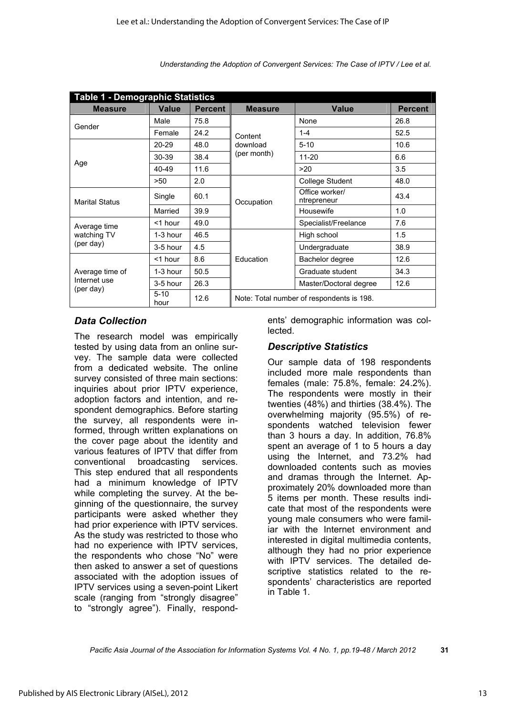| <b>Table 1 - Demographic Statistics</b>      |                  |                |                                           |                               |                |  |  |
|----------------------------------------------|------------------|----------------|-------------------------------------------|-------------------------------|----------------|--|--|
| <b>Measure</b>                               | <b>Value</b>     | <b>Percent</b> | <b>Measure</b>                            | <b>Value</b>                  | <b>Percent</b> |  |  |
|                                              | Male             | 75.8           |                                           | None                          | 26.8           |  |  |
| Gender                                       | Female           | 24.2           | Content                                   | $1 - 4$                       | 52.5           |  |  |
|                                              | $20 - 29$        | 48.0           | download                                  | $5 - 10$                      | 10.6           |  |  |
|                                              | 30-39            | 38.4           | (per month)                               | $11 - 20$                     | 6.6            |  |  |
| Age                                          | 40-49            | 11.6           |                                           | >20                           | 3.5            |  |  |
|                                              | >50              | 2.0            |                                           | College Student               | 48.0           |  |  |
| <b>Marital Status</b>                        | Single           | 60.1           | Occupation                                | Office worker/<br>ntrepreneur | 43.4           |  |  |
|                                              | Married          | 39.9           |                                           | Housewife                     | 1.0            |  |  |
| Average time                                 | <1 hour          | 49.0           |                                           | Specialist/Freelance          | 7.6            |  |  |
| watching TV                                  | 1-3 hour         | 46.5           |                                           | High school                   | 1.5            |  |  |
| (per day)                                    | 3-5 hour         | 4.5            |                                           | Undergraduate                 | 38.9           |  |  |
|                                              | <1 hour          | 8.6            | Education                                 | Bachelor degree               | 12.6           |  |  |
| Average time of<br>Internet use<br>(per day) | 1-3 hour         | 50.5           |                                           | Graduate student              | 34.3           |  |  |
|                                              | 3-5 hour         | 26.3           |                                           | Master/Doctoral degree        | 12.6           |  |  |
|                                              | $5 - 10$<br>hour | 12.6           | Note: Total number of respondents is 198. |                               |                |  |  |

#### *Data Collection*

The research model was empirically tested by using data from an online survey. The sample data were collected from a dedicated website. The online survey consisted of three main sections: inquiries about prior IPTV experience, adoption factors and intention, and respondent demographics. Before starting the survey, all respondents were informed, through written explanations on the cover page about the identity and various features of IPTV that differ from conventional broadcasting services. This step endured that all respondents had a minimum knowledge of IPTV while completing the survey. At the beginning of the questionnaire, the survey participants were asked whether they had prior experience with IPTV services. As the study was restricted to those who had no experience with IPTV services, the respondents who chose "No" were then asked to answer a set of questions associated with the adoption issues of IPTV services using a seven-point Likert scale (ranging from "strongly disagree" to "strongly agree"). Finally, respond-

ents' demographic information was collected.

#### *Descriptive Statistics*

Our sample data of 198 respondents included more male respondents than females (male: 75.8%, female: 24.2%). The respondents were mostly in their twenties (48%) and thirties (38.4%). The overwhelming majority (95.5%) of respondents watched television fewer than 3 hours a day. In addition, 76.8% spent an average of 1 to 5 hours a day using the Internet, and 73.2% had downloaded contents such as movies and dramas through the Internet. Approximately 20% downloaded more than 5 items per month. These results indicate that most of the respondents were young male consumers who were familiar with the Internet environment and interested in digital multimedia contents, although they had no prior experience with IPTV services. The detailed descriptive statistics related to the respondents' characteristics are reported in Table 1.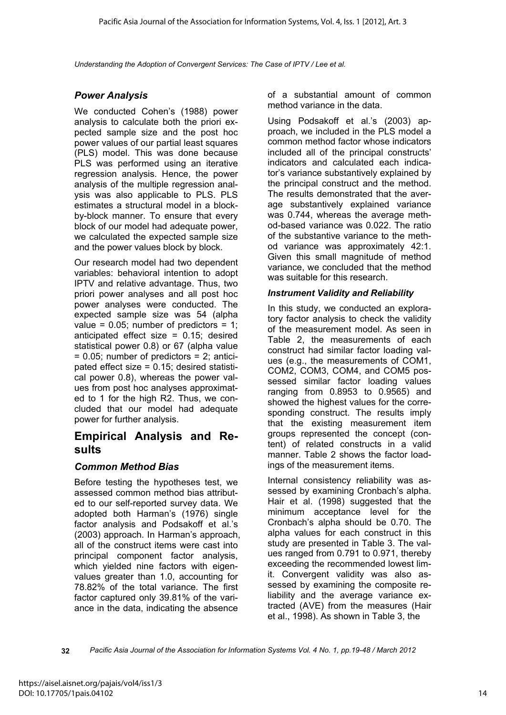#### *Power Analysis*

We conducted Cohen's (1988) power analysis to calculate both the priori expected sample size and the post hoc power values of our partial least squares (PLS) model. This was done because PLS was performed using an iterative regression analysis. Hence, the power analysis of the multiple regression analysis was also applicable to PLS. PLS estimates a structural model in a blockby-block manner. To ensure that every block of our model had adequate power, we calculated the expected sample size and the power values block by block.

Our research model had two dependent variables: behavioral intention to adopt IPTV and relative advantage. Thus, two priori power analyses and all post hoc power analyses were conducted. The expected sample size was 54 (alpha value =  $0.05$ ; number of predictors = 1; anticipated effect size  $= 0.15$ ; desired statistical power 0.8) or 67 (alpha value  $= 0.05$ ; number of predictors  $= 2$ ; anticipated effect size = 0.15; desired statistical power 0.8), whereas the power values from post hoc analyses approximated to 1 for the high R2. Thus, we concluded that our model had adequate power for further analysis.

### **Empirical Analysis and Results**

#### *Common Method Bias*

Before testing the hypotheses test, we assessed common method bias attributed to our self-reported survey data. We adopted both Harman's (1976) single factor analysis and Podsakoff et al.'s (2003) approach. In Harman's approach, all of the construct items were cast into principal component factor analysis, which yielded nine factors with eigenvalues greater than 1.0, accounting for 78.82% of the total variance. The first factor captured only 39.81% of the variance in the data, indicating the absence

of a substantial amount of common method variance in the data.

Using Podsakoff et al.'s (2003) approach, we included in the PLS model a common method factor whose indicators included all of the principal constructs' indicators and calculated each indicator's variance substantively explained by the principal construct and the method. The results demonstrated that the average substantively explained variance was 0.744, whereas the average method-based variance was 0.022. The ratio of the substantive variance to the method variance was approximately 42:1. Given this small magnitude of method variance, we concluded that the method was suitable for this research.

#### *Instrument Validity and Reliability*

In this study, we conducted an exploratory factor analysis to check the validity of the measurement model. As seen in Table 2, the measurements of each construct had similar factor loading values (e.g., the measurements of COM1, COM2, COM3, COM4, and COM5 possessed similar factor loading values ranging from 0.8953 to 0.9565) and showed the highest values for the corresponding construct. The results imply that the existing measurement item groups represented the concept (content) of related constructs in a valid manner. Table 2 shows the factor loadings of the measurement items.

Internal consistency reliability was assessed by examining Cronbach's alpha. Hair et al. (1998) suggested that the minimum acceptance level for the Cronbach's alpha should be 0.70. The alpha values for each construct in this study are presented in Table 3. The values ranged from 0.791 to 0.971, thereby exceeding the recommended lowest limit. Convergent validity was also assessed by examining the composite reliability and the average variance extracted (AVE) from the measures (Hair et al., 1998). As shown in Table 3, the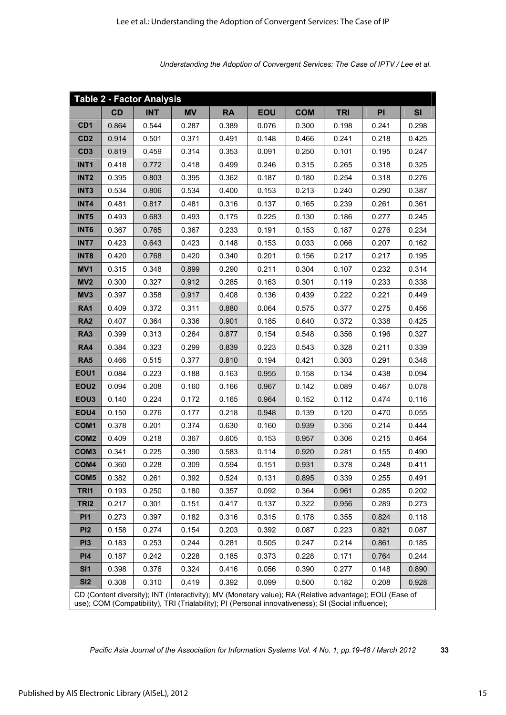| <b>Table 2 - Factor Analysis</b>                                                                                                                                                                               |       |            |           |           |            |            |            |       |       |
|----------------------------------------------------------------------------------------------------------------------------------------------------------------------------------------------------------------|-------|------------|-----------|-----------|------------|------------|------------|-------|-------|
|                                                                                                                                                                                                                | CD    | <b>INT</b> | <b>MV</b> | <b>RA</b> | <b>EOU</b> | <b>COM</b> | <b>TRI</b> | PI    | SI    |
| CD <sub>1</sub>                                                                                                                                                                                                | 0.864 | 0.544      | 0.287     | 0.389     | 0.076      | 0.300      | 0.198      | 0.241 | 0.298 |
| CD <sub>2</sub>                                                                                                                                                                                                | 0.914 | 0.501      | 0.371     | 0.491     | 0.148      | 0.466      | 0.241      | 0.218 | 0.425 |
| CD <sub>3</sub>                                                                                                                                                                                                | 0.819 | 0.459      | 0.314     | 0.353     | 0.091      | 0.250      | 0.101      | 0.195 | 0.247 |
| INT <sub>1</sub>                                                                                                                                                                                               | 0.418 | 0.772      | 0.418     | 0.499     | 0.246      | 0.315      | 0.265      | 0.318 | 0.325 |
| INT <sub>2</sub>                                                                                                                                                                                               | 0.395 | 0.803      | 0.395     | 0.362     | 0.187      | 0.180      | 0.254      | 0.318 | 0.276 |
| INT <sub>3</sub>                                                                                                                                                                                               | 0.534 | 0.806      | 0.534     | 0.400     | 0.153      | 0.213      | 0.240      | 0.290 | 0.387 |
| INT4                                                                                                                                                                                                           | 0.481 | 0.817      | 0.481     | 0.316     | 0.137      | 0.165      | 0.239      | 0.261 | 0.361 |
| INT5                                                                                                                                                                                                           | 0.493 | 0.683      | 0.493     | 0.175     | 0.225      | 0.130      | 0.186      | 0.277 | 0.245 |
| <b>INT6</b>                                                                                                                                                                                                    | 0.367 | 0.765      | 0.367     | 0.233     | 0.191      | 0.153      | 0.187      | 0.276 | 0.234 |
| <b>INT7</b>                                                                                                                                                                                                    | 0.423 | 0.643      | 0.423     | 0.148     | 0.153      | 0.033      | 0.066      | 0.207 | 0.162 |
| INT8                                                                                                                                                                                                           | 0.420 | 0.768      | 0.420     | 0.340     | 0.201      | 0.156      | 0.217      | 0.217 | 0.195 |
| MV <sub>1</sub>                                                                                                                                                                                                | 0.315 | 0.348      | 0.899     | 0.290     | 0.211      | 0.304      | 0.107      | 0.232 | 0.314 |
| MV <sub>2</sub>                                                                                                                                                                                                | 0.300 | 0.327      | 0.912     | 0.285     | 0.163      | 0.301      | 0.119      | 0.233 | 0.338 |
| MV3                                                                                                                                                                                                            | 0.397 | 0.358      | 0.917     | 0.408     | 0.136      | 0.439      | 0.222      | 0.221 | 0.449 |
| RA1                                                                                                                                                                                                            | 0.409 | 0.372      | 0.311     | 0.880     | 0.064      | 0.575      | 0.377      | 0.275 | 0.456 |
| <b>RA2</b>                                                                                                                                                                                                     | 0.407 | 0.364      | 0.336     | 0.901     | 0.185      | 0.640      | 0.372      | 0.338 | 0.425 |
| <b>RA3</b>                                                                                                                                                                                                     | 0.399 | 0.313      | 0.264     | 0.877     | 0.154      | 0.548      | 0.356      | 0.196 | 0.327 |
| <b>RA4</b>                                                                                                                                                                                                     | 0.384 | 0.323      | 0.299     | 0.839     | 0.223      | 0.543      | 0.328      | 0.211 | 0.339 |
| <b>RA5</b>                                                                                                                                                                                                     | 0.466 | 0.515      | 0.377     | 0.810     | 0.194      | 0.421      | 0.303      | 0.291 | 0.348 |
| EOU1                                                                                                                                                                                                           | 0.084 | 0.223      | 0.188     | 0.163     | 0.955      | 0.158      | 0.134      | 0.438 | 0.094 |
| EOU <sub>2</sub>                                                                                                                                                                                               | 0.094 | 0.208      | 0.160     | 0.166     | 0.967      | 0.142      | 0.089      | 0.467 | 0.078 |
| EOU <sub>3</sub>                                                                                                                                                                                               | 0.140 | 0.224      | 0.172     | 0.165     | 0.964      | 0.152      | 0.112      | 0.474 | 0.116 |
| EOU4                                                                                                                                                                                                           | 0.150 | 0.276      | 0.177     | 0.218     | 0.948      | 0.139      | 0.120      | 0.470 | 0.055 |
| COM1                                                                                                                                                                                                           | 0.378 | 0.201      | 0.374     | 0.630     | 0.160      | 0.939      | 0.356      | 0.214 | 0.444 |
| COM <sub>2</sub>                                                                                                                                                                                               | 0.409 | 0.218      | 0.367     | 0.605     | 0.153      | 0.957      | 0.306      | 0.215 | 0.464 |
| COM <sub>3</sub>                                                                                                                                                                                               | 0.341 | 0.225      | 0.390     | 0.583     | 0.114      | 0.920      | 0.281      | 0.155 | 0.490 |
| COM4                                                                                                                                                                                                           | 0.360 | 0.228      | 0.309     | 0.594     | 0.151      | 0.931      | 0.378      | 0.248 | 0.411 |
| COM <sub>5</sub>                                                                                                                                                                                               | 0.382 | 0.261      | 0.392     | 0.524     | 0.131      | 0.895      | 0.339      | 0.255 | 0.491 |
| TRI1                                                                                                                                                                                                           | 0.193 | 0.250      | 0.180     | 0.357     | 0.092      | 0.364      | 0.961      | 0.285 | 0.202 |
| TRI <sub>2</sub>                                                                                                                                                                                               | 0.217 | 0.301      | 0.151     | 0.417     | 0.137      | 0.322      | 0.956      | 0.289 | 0.273 |
| <b>PI1</b>                                                                                                                                                                                                     | 0.273 | 0.397      | 0.182     | 0.316     | 0.315      | 0.178      | 0.355      | 0.824 | 0.118 |
| PI <sub>2</sub>                                                                                                                                                                                                | 0.158 | 0.274      | 0.154     | 0.203     | 0.392      | 0.087      | 0.223      | 0.821 | 0.087 |
| PI <sub>3</sub>                                                                                                                                                                                                | 0.183 | 0.253      | 0.244     | 0.281     | 0.505      | 0.247      | 0.214      | 0.861 | 0.185 |
| <b>PI4</b>                                                                                                                                                                                                     | 0.187 | 0.242      | 0.228     | 0.185     | 0.373      | 0.228      | 0.171      | 0.764 | 0.244 |
| SI1                                                                                                                                                                                                            | 0.398 | 0.376      | 0.324     | 0.416     | 0.056      | 0.390      | 0.277      | 0.148 | 0.890 |
| <b>SI2</b>                                                                                                                                                                                                     | 0.308 | 0.310      | 0.419     | 0.392     | 0.099      | 0.500      | 0.182      | 0.208 | 0.928 |
| CD (Content diversity); INT (Interactivity); MV (Monetary value); RA (Relative advantage); EOU (Ease of<br>use); COM (Compatibility), TRI (Trialability); PI (Personal innovativeness); SI (Social influence); |       |            |           |           |            |            |            |       |       |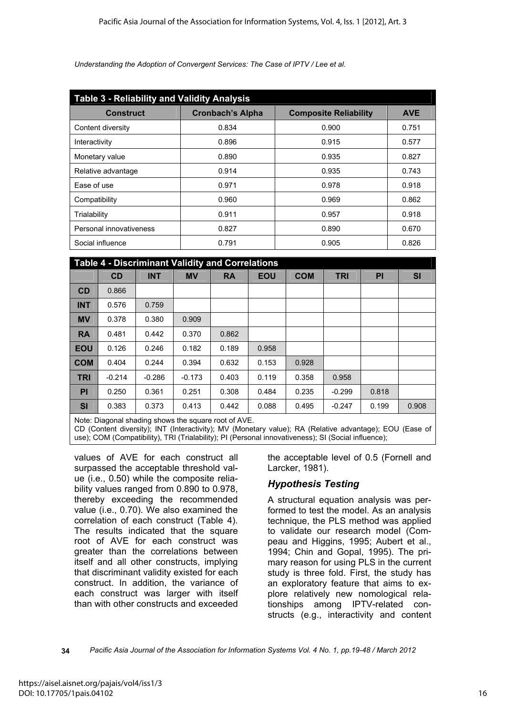| <b>Table 3 - Reliability and Validity Analysis</b> |                         |                              |            |  |  |  |  |
|----------------------------------------------------|-------------------------|------------------------------|------------|--|--|--|--|
| <b>Construct</b>                                   | <b>Cronbach's Alpha</b> | <b>Composite Reliability</b> | <b>AVE</b> |  |  |  |  |
| Content diversity                                  | 0.834                   | 0.900                        | 0.751      |  |  |  |  |
| Interactivity                                      | 0.896                   | 0.915                        | 0.577      |  |  |  |  |
| Monetary value                                     | 0.890                   | 0.935                        | 0.827      |  |  |  |  |
| Relative advantage                                 | 0.914                   | 0.935                        | 0.743      |  |  |  |  |
| Ease of use                                        | 0.971                   | 0.978                        | 0.918      |  |  |  |  |
| Compatibility                                      | 0.960                   | 0.969                        | 0.862      |  |  |  |  |
| Trialability                                       | 0.911                   | 0.957                        | 0.918      |  |  |  |  |
| Personal innovativeness                            | 0.827                   | 0.890                        | 0.670      |  |  |  |  |
| Social influence                                   | 0.791                   | 0.905                        | 0.826      |  |  |  |  |

| <b>Table 4 - Discriminant Validity and Correlations</b> |          |            |           |           |            |            |            |       |           |
|---------------------------------------------------------|----------|------------|-----------|-----------|------------|------------|------------|-------|-----------|
|                                                         | CD       | <b>INT</b> | <b>MV</b> | <b>RA</b> | <b>EOU</b> | <b>COM</b> | <b>TRI</b> | PI    | <b>SI</b> |
| CD                                                      | 0.866    |            |           |           |            |            |            |       |           |
| <b>INT</b>                                              | 0.576    | 0.759      |           |           |            |            |            |       |           |
| <b>MV</b>                                               | 0.378    | 0.380      | 0.909     |           |            |            |            |       |           |
| <b>RA</b>                                               | 0.481    | 0.442      | 0.370     | 0.862     |            |            |            |       |           |
| <b>EOU</b>                                              | 0.126    | 0.246      | 0.182     | 0.189     | 0.958      |            |            |       |           |
| <b>COM</b>                                              | 0.404    | 0.244      | 0.394     | 0.632     | 0.153      | 0.928      |            |       |           |
| <b>TRI</b>                                              | $-0.214$ | $-0.286$   | $-0.173$  | 0.403     | 0.119      | 0.358      | 0.958      |       |           |
| <b>PI</b>                                               | 0.250    | 0.361      | 0.251     | 0.308     | 0.484      | 0.235      | $-0.299$   | 0.818 |           |
| <b>SI</b>                                               | 0.383    | 0.373      | 0.413     | 0.442     | 0.088      | 0.495      | $-0.247$   | 0.199 | 0.908     |

Note: Diagonal shading shows the square root of AVE.

CD (Content diversity); INT (Interactivity); MV (Monetary value); RA (Relative advantage); EOU (Ease of use); COM (Compatibility), TRI (Trialability); PI (Personal innovativeness); SI (Social influence);

values of AVE for each construct all surpassed the acceptable threshold value (i.e., 0.50) while the composite reliability values ranged from 0.890 to 0.978, thereby exceeding the recommended value (i.e., 0.70). We also examined the correlation of each construct (Table 4). The results indicated that the square root of AVE for each construct was greater than the correlations between itself and all other constructs, implying that discriminant validity existed for each construct. In addition, the variance of each construct was larger with itself than with other constructs and exceeded the acceptable level of 0.5 (Fornell and Larcker, 1981).

#### *Hypothesis Testing*

A structural equation analysis was performed to test the model. As an analysis technique, the PLS method was applied to validate our research model (Compeau and Higgins, 1995; Aubert et al., 1994; Chin and Gopal, 1995). The primary reason for using PLS in the current study is three fold. First, the study has an exploratory feature that aims to explore relatively new nomological relationships among IPTV-related constructs (e.g., interactivity and content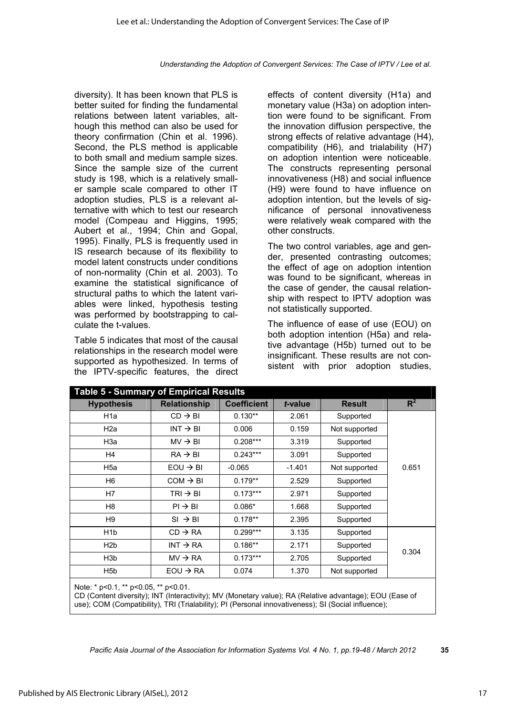diversity). It has been known that PLS is better suited for finding the fundamental relations between latent variables, although this method can also be used for theory confirmation (Chin et al. 1996). Second, the PLS method is applicable to both small and medium sample sizes. Since the sample size of the current study is 198, which is a relatively smaller sample scale compared to other IT adoption studies, PLS is a relevant alternative with which to test our research model (Compeau and Higgins, 1995; Aubert et al., 1994; Chin and Gopal, 1995). Finally, PLS is frequently used in IS research because of its flexibility to model latent constructs under conditions of non-normality (Chin et al. 2003). To examine the statistical significance of structural paths to which the latent variables were linked, hypothesis testing was performed by bootstrapping to calculate the t-values.

Table 5 indicates that most of the causal relationships in the research model were supported as hypothesized. In terms of the IPTV-specific features, the direct

effects of content diversity (H1a) and monetary value (H3a) on adoption intention were found to be significant. From the innovation diffusion perspective, the strong effects of relative advantage (H4), compatibility (H6), and trialability (H7) on adoption intention were noticeable. The constructs representing personal innovativeness (H8) and social influence (H9) were found to have influence on adoption intention, but the levels of significance of personal innovativeness were relatively weak compared with the other constructs.

The two control variables, age and gender, presented contrasting outcomes; the effect of age on adoption intention was found to be significant, whereas in the case of gender, the causal relationship with respect to IPTV adoption was not statistically supported.

The influence of ease of use (EOU) on both adoption intention (H5a) and relative advantage (H5b) turned out to be insignificant. These results are not consistent with prior adoption studies,

| Table 5 - Summary of Empirical Results |                                                                       |            |          |               |       |  |  |  |
|----------------------------------------|-----------------------------------------------------------------------|------------|----------|---------------|-------|--|--|--|
| <b>Hypothesis</b>                      | <b>Relationship</b><br><b>Coefficient</b><br><b>Result</b><br>t-value |            | $R^2$    |               |       |  |  |  |
| H <sub>1</sub> a                       | $CD \rightarrow BI$                                                   | $0.130**$  | 2.061    | Supported     |       |  |  |  |
| H <sub>2a</sub>                        | $INT \rightarrow BI$                                                  | 0.006      | 0.159    | Not supported |       |  |  |  |
| H3a                                    | $MV \rightarrow BI$                                                   | $0.208***$ | 3.319    | Supported     |       |  |  |  |
| H4                                     | $RA \rightarrow BI$                                                   | $0.243***$ | 3.091    | Supported     |       |  |  |  |
| H <sub>5a</sub>                        | $EOU \rightarrow BI$                                                  | $-0.065$   | $-1.401$ | Not supported | 0.651 |  |  |  |
| H <sub>6</sub>                         | $COM \rightarrow BI$                                                  | $0.179**$  | 2.529    | Supported     |       |  |  |  |
| H7                                     | $TRI \rightarrow BI$                                                  | $0.173***$ | 2.971    | Supported     |       |  |  |  |
| H <sub>8</sub>                         | $PI \rightarrow BI$                                                   | $0.086*$   | 1.668    | Supported     |       |  |  |  |
| H9                                     | $SI \rightarrow BI$                                                   | $0.178**$  | 2.395    | Supported     |       |  |  |  |
| H <sub>1</sub> b                       | $CD \rightarrow RA$                                                   | $0.299***$ | 3.135    | Supported     |       |  |  |  |
| H <sub>2</sub> b                       | $INT \rightarrow RA$                                                  | $0.186**$  | 2.171    | Supported     |       |  |  |  |
| H <sub>3</sub> b                       | $MV \rightarrow RA$                                                   | $0.173***$ | 2.705    | Supported     | 0.304 |  |  |  |
| H <sub>5</sub> b                       | $EOU \rightarrow RA$                                                  | 0.074      | 1.370    | Not supported |       |  |  |  |
| $N$ nte: * n<0.1 ** n<0.05 ** n<0.01   |                                                                       |            |          |               |       |  |  |  |

Note: \* p<0.1, \*\* p<0.05, \*\* p<0.01.

CD (Content diversity); INT (Interactivity); MV (Monetary value); RA (Relative advantage); EOU (Ease of use); COM (Compatibility), TRI (Trialability); PI (Personal innovativeness); SI (Social influence);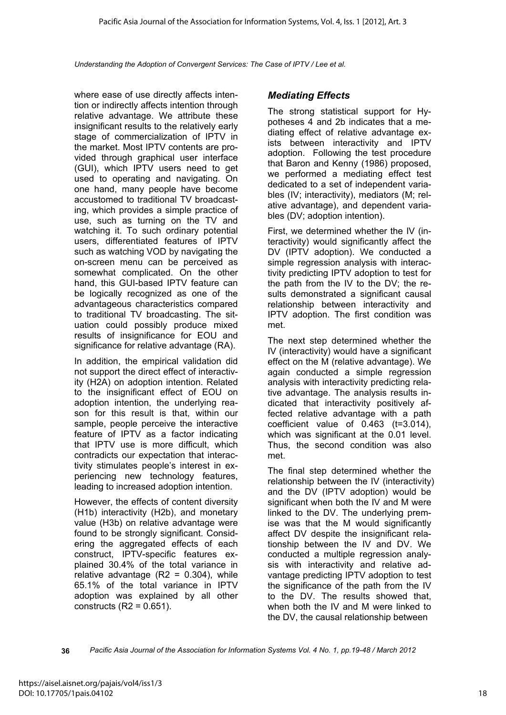where ease of use directly affects intention or indirectly affects intention through relative advantage. We attribute these insignificant results to the relatively early stage of commercialization of IPTV in the market. Most IPTV contents are provided through graphical user interface (GUI), which IPTV users need to get used to operating and navigating. On one hand, many people have become accustomed to traditional TV broadcasting, which provides a simple practice of use, such as turning on the TV and watching it. To such ordinary potential users, differentiated features of IPTV such as watching VOD by navigating the on-screen menu can be perceived as somewhat complicated. On the other hand, this GUI-based IPTV feature can be logically recognized as one of the advantageous characteristics compared to traditional TV broadcasting. The situation could possibly produce mixed results of insignificance for EOU and significance for relative advantage (RA).

In addition, the empirical validation did not support the direct effect of interactivity (H2A) on adoption intention. Related to the insignificant effect of EOU on adoption intention, the underlying reason for this result is that, within our sample, people perceive the interactive feature of IPTV as a factor indicating that IPTV use is more difficult, which contradicts our expectation that interactivity stimulates people's interest in experiencing new technology features, leading to increased adoption intention.

However, the effects of content diversity (H1b) interactivity (H2b), and monetary value (H3b) on relative advantage were found to be strongly significant. Considering the aggregated effects of each construct, IPTV-specific features explained 30.4% of the total variance in relative advantage  $(R2 = 0.304)$ , while 65.1% of the total variance in IPTV adoption was explained by all other constructs  $(R2 = 0.651)$ .

#### *Mediating Effects*

The strong statistical support for Hypotheses 4 and 2b indicates that a mediating effect of relative advantage exists between interactivity and IPTV adoption. Following the test procedure that Baron and Kenny (1986) proposed, we performed a mediating effect test dedicated to a set of independent variables (IV; interactivity), mediators (M; relative advantage), and dependent variables (DV; adoption intention).

First, we determined whether the IV (interactivity) would significantly affect the DV (IPTV adoption). We conducted a simple regression analysis with interactivity predicting IPTV adoption to test for the path from the IV to the DV; the results demonstrated a significant causal relationship between interactivity and IPTV adoption. The first condition was met.

The next step determined whether the IV (interactivity) would have a significant effect on the M (relative advantage). We again conducted a simple regression analysis with interactivity predicting relative advantage. The analysis results indicated that interactivity positively affected relative advantage with a path coefficient value of  $0.463$  (t=3.014). which was significant at the 0.01 level. Thus, the second condition was also met.

The final step determined whether the relationship between the IV (interactivity) and the DV (IPTV adoption) would be significant when both the IV and M were linked to the DV. The underlying premise was that the M would significantly affect DV despite the insignificant relationship between the IV and DV. We conducted a multiple regression analysis with interactivity and relative advantage predicting IPTV adoption to test the significance of the path from the IV to the DV. The results showed that, when both the IV and M were linked to the DV, the causal relationship between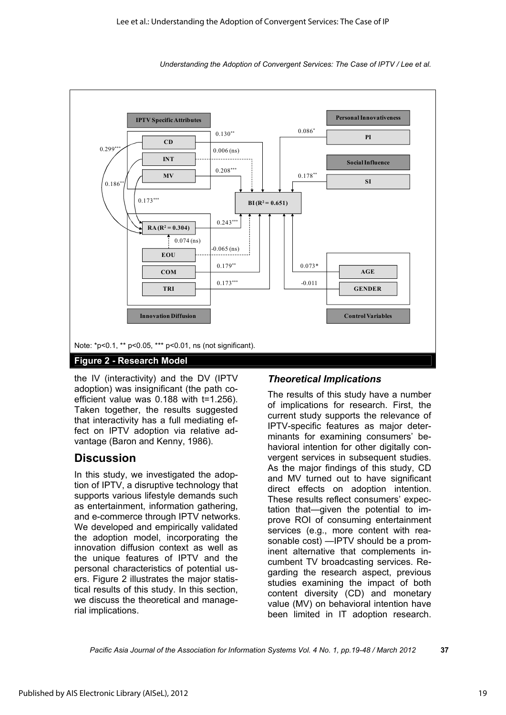

the IV (interactivity) and the DV (IPTV adoption) was insignificant (the path coefficient value was 0.188 with t=1.256). Taken together, the results suggested that interactivity has a full mediating effect on IPTV adoption via relative advantage (Baron and Kenny, 1986).

## **Discussion**

In this study, we investigated the adoption of IPTV, a disruptive technology that supports various lifestyle demands such as entertainment, information gathering, and e-commerce through IPTV networks. We developed and empirically validated the adoption model, incorporating the innovation diffusion context as well as the unique features of IPTV and the personal characteristics of potential users. Figure 2 illustrates the major statistical results of this study. In this section, we discuss the theoretical and managerial implications.

#### *Theoretical Implications*

The results of this study have a number of implications for research. First, the current study supports the relevance of IPTV-specific features as major determinants for examining consumers' behavioral intention for other digitally convergent services in subsequent studies. As the major findings of this study, CD and MV turned out to have significant direct effects on adoption intention. These results reflect consumers' expectation that—given the potential to improve ROI of consuming entertainment services (e.g., more content with reasonable cost) —IPTV should be a prominent alternative that complements incumbent TV broadcasting services. Regarding the research aspect, previous studies examining the impact of both content diversity (CD) and monetary value (MV) on behavioral intention have been limited in IT adoption research.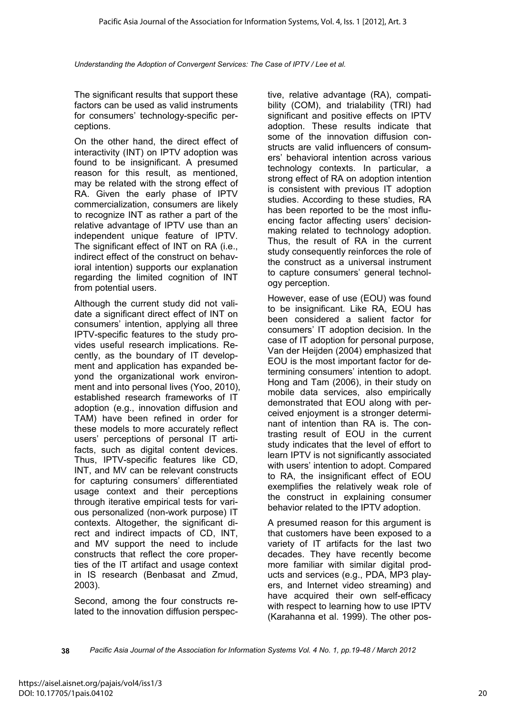The significant results that support these factors can be used as valid instruments for consumers' technology-specific perceptions.

On the other hand, the direct effect of interactivity (INT) on IPTV adoption was found to be insignificant. A presumed reason for this result, as mentioned, may be related with the strong effect of RA. Given the early phase of IPTV commercialization, consumers are likely to recognize INT as rather a part of the relative advantage of IPTV use than an independent unique feature of IPTV. The significant effect of INT on RA (i.e., indirect effect of the construct on behavioral intention) supports our explanation regarding the limited cognition of INT from potential users.

Although the current study did not validate a significant direct effect of INT on consumers' intention, applying all three IPTV-specific features to the study provides useful research implications. Recently, as the boundary of IT development and application has expanded beyond the organizational work environment and into personal lives (Yoo, 2010), established research frameworks of IT adoption (e.g., innovation diffusion and TAM) have been refined in order for these models to more accurately reflect users' perceptions of personal IT artifacts, such as digital content devices. Thus, IPTV-specific features like CD, INT, and MV can be relevant constructs for capturing consumers' differentiated usage context and their perceptions through iterative empirical tests for various personalized (non-work purpose) IT contexts. Altogether, the significant direct and indirect impacts of CD, INT, and MV support the need to include constructs that reflect the core properties of the IT artifact and usage context in IS research (Benbasat and Zmud, 2003).

Second, among the four constructs related to the innovation diffusion perspec-

tive, relative advantage (RA), compatibility (COM), and trialability (TRI) had significant and positive effects on IPTV adoption. These results indicate that some of the innovation diffusion constructs are valid influencers of consumers' behavioral intention across various technology contexts. In particular, a strong effect of RA on adoption intention is consistent with previous IT adoption studies. According to these studies, RA has been reported to be the most influencing factor affecting users' decisionmaking related to technology adoption. Thus, the result of RA in the current study consequently reinforces the role of the construct as a universal instrument to capture consumers' general technology perception.

However, ease of use (EOU) was found to be insignificant. Like RA, EOU has been considered a salient factor for consumers' IT adoption decision. In the case of IT adoption for personal purpose, Van der Heijden (2004) emphasized that EOU is the most important factor for determining consumers' intention to adopt. Hong and Tam (2006), in their study on mobile data services, also empirically demonstrated that EOU along with perceived enjoyment is a stronger determinant of intention than RA is. The contrasting result of EOU in the current study indicates that the level of effort to learn IPTV is not significantly associated with users' intention to adopt. Compared to RA, the insignificant effect of EOU exemplifies the relatively weak role of the construct in explaining consumer behavior related to the IPTV adoption.

A presumed reason for this argument is that customers have been exposed to a variety of IT artifacts for the last two decades. They have recently become more familiar with similar digital products and services (e.g., PDA, MP3 players, and Internet video streaming) and have acquired their own self-efficacy with respect to learning how to use IPTV (Karahanna et al. 1999). The other pos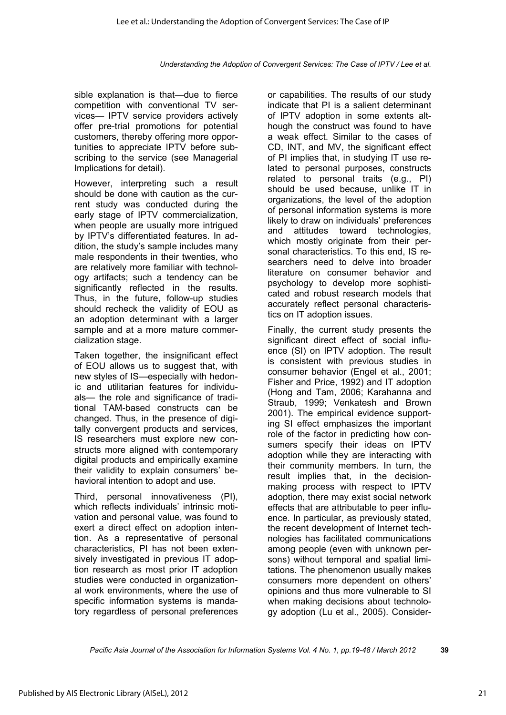sible explanation is that—due to fierce competition with conventional TV services— IPTV service providers actively offer pre-trial promotions for potential customers, thereby offering more opportunities to appreciate IPTV before subscribing to the service (see Managerial Implications for detail).

However, interpreting such a result should be done with caution as the current study was conducted during the early stage of IPTV commercialization, when people are usually more intrigued by IPTV's differentiated features. In addition, the study's sample includes many male respondents in their twenties, who are relatively more familiar with technology artifacts; such a tendency can be significantly reflected in the results. Thus, in the future, follow-up studies should recheck the validity of EOU as an adoption determinant with a larger sample and at a more mature commercialization stage.

Taken together, the insignificant effect of EOU allows us to suggest that, with new styles of IS—especially with hedonic and utilitarian features for individuals— the role and significance of traditional TAM-based constructs can be changed. Thus, in the presence of digitally convergent products and services, IS researchers must explore new constructs more aligned with contemporary digital products and empirically examine their validity to explain consumers' behavioral intention to adopt and use.

Third, personal innovativeness (PI), which reflects individuals' intrinsic motivation and personal value, was found to exert a direct effect on adoption intention. As a representative of personal characteristics, PI has not been extensively investigated in previous IT adoption research as most prior IT adoption studies were conducted in organizational work environments, where the use of specific information systems is mandatory regardless of personal preferences

or capabilities. The results of our study indicate that PI is a salient determinant of IPTV adoption in some extents although the construct was found to have a weak effect. Similar to the cases of CD, INT, and MV, the significant effect of PI implies that, in studying IT use related to personal purposes, constructs related to personal traits (e.g., PI) should be used because, unlike IT in organizations, the level of the adoption of personal information systems is more likely to draw on individuals' preferences and attitudes toward technologies, which mostly originate from their personal characteristics. To this end, IS researchers need to delve into broader literature on consumer behavior and psychology to develop more sophisticated and robust research models that accurately reflect personal characteristics on IT adoption issues.

Finally, the current study presents the significant direct effect of social influence (SI) on IPTV adoption. The result is consistent with previous studies in consumer behavior (Engel et al., 2001; Fisher and Price, 1992) and IT adoption (Hong and Tam, 2006; Karahanna and Straub, 1999; Venkatesh and Brown 2001). The empirical evidence supporting SI effect emphasizes the important role of the factor in predicting how consumers specify their ideas on IPTV adoption while they are interacting with their community members. In turn, the result implies that, in the decisionmaking process with respect to IPTV adoption, there may exist social network effects that are attributable to peer influence. In particular, as previously stated, the recent development of Internet technologies has facilitated communications among people (even with unknown persons) without temporal and spatial limitations. The phenomenon usually makes consumers more dependent on others' opinions and thus more vulnerable to SI when making decisions about technology adoption (Lu et al., 2005). Consider-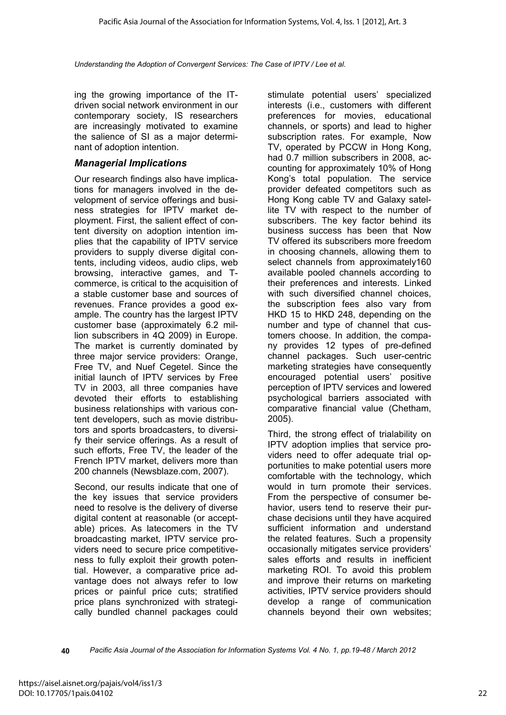ing the growing importance of the ITdriven social network environment in our contemporary society, IS researchers are increasingly motivated to examine the salience of SI as a major determinant of adoption intention.

#### *Managerial Implications*

Our research findings also have implications for managers involved in the development of service offerings and business strategies for IPTV market deployment. First, the salient effect of content diversity on adoption intention implies that the capability of IPTV service providers to supply diverse digital contents, including videos, audio clips, web browsing, interactive games, and Tcommerce, is critical to the acquisition of a stable customer base and sources of revenues. France provides a good example. The country has the largest IPTV customer base (approximately 6.2 million subscribers in 4Q 2009) in Europe. The market is currently dominated by three major service providers: Orange, Free TV, and Nuef Cegetel. Since the initial launch of IPTV services by Free TV in 2003, all three companies have devoted their efforts to establishing business relationships with various content developers, such as movie distributors and sports broadcasters, to diversify their service offerings. As a result of such efforts, Free TV, the leader of the French IPTV market, delivers more than 200 channels (Newsblaze.com, 2007).

Second, our results indicate that one of the key issues that service providers need to resolve is the delivery of diverse digital content at reasonable (or acceptable) prices. As latecomers in the TV broadcasting market, IPTV service providers need to secure price competitiveness to fully exploit their growth potential. However, a comparative price advantage does not always refer to low prices or painful price cuts; stratified price plans synchronized with strategically bundled channel packages could

stimulate potential users' specialized interests (i.e., customers with different preferences for movies, educational channels, or sports) and lead to higher subscription rates. For example, Now TV, operated by PCCW in Hong Kong, had 0.7 million subscribers in 2008, accounting for approximately 10% of Hong Kong's total population. The service provider defeated competitors such as Hong Kong cable TV and Galaxy satellite TV with respect to the number of subscribers. The key factor behind its business success has been that Now TV offered its subscribers more freedom in choosing channels, allowing them to select channels from approximately160 available pooled channels according to their preferences and interests. Linked with such diversified channel choices. the subscription fees also vary from HKD 15 to HKD 248, depending on the number and type of channel that customers choose. In addition, the company provides 12 types of pre-defined channel packages. Such user-centric marketing strategies have consequently encouraged potential users' positive perception of IPTV services and lowered psychological barriers associated with comparative financial value (Chetham, 2005).

Third, the strong effect of trialability on IPTV adoption implies that service providers need to offer adequate trial opportunities to make potential users more comfortable with the technology, which would in turn promote their services. From the perspective of consumer behavior, users tend to reserve their purchase decisions until they have acquired sufficient information and understand the related features. Such a propensity occasionally mitigates service providers' sales efforts and results in inefficient marketing ROI. To avoid this problem and improve their returns on marketing activities, IPTV service providers should develop a range of communication channels beyond their own websites;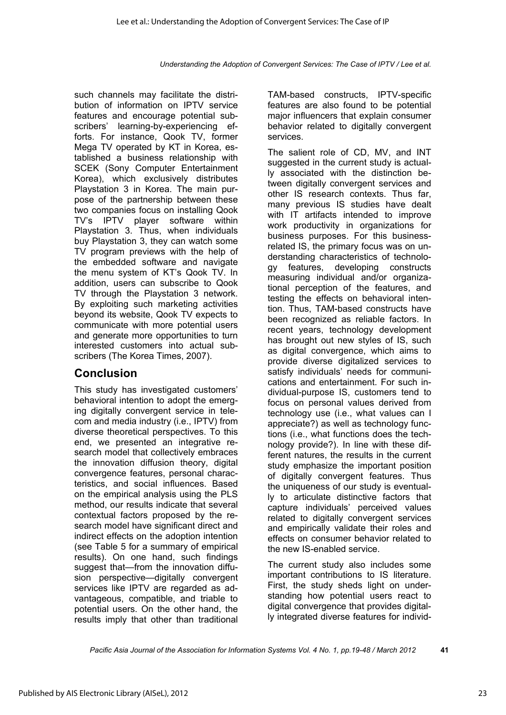such channels may facilitate the distribution of information on IPTV service features and encourage potential subscribers' learning-by-experiencing efforts. For instance, Qook TV, former Mega TV operated by KT in Korea, established a business relationship with SCEK (Sony Computer Entertainment Korea), which exclusively distributes Playstation 3 in Korea. The main purpose of the partnership between these two companies focus on installing Qook TV's IPTV player software within Playstation 3. Thus, when individuals buy Playstation 3, they can watch some TV program previews with the help of the embedded software and navigate the menu system of KT's Qook TV. In addition, users can subscribe to Qook TV through the Playstation 3 network. By exploiting such marketing activities beyond its website, Qook TV expects to communicate with more potential users and generate more opportunities to turn interested customers into actual subscribers (The Korea Times, 2007).

# **Conclusion**

This study has investigated customers' behavioral intention to adopt the emerging digitally convergent service in telecom and media industry (i.e., IPTV) from diverse theoretical perspectives. To this end, we presented an integrative research model that collectively embraces the innovation diffusion theory, digital convergence features, personal characteristics, and social influences. Based on the empirical analysis using the PLS method, our results indicate that several contextual factors proposed by the research model have significant direct and indirect effects on the adoption intention (see Table 5 for a summary of empirical results). On one hand, such findings suggest that—from the innovation diffusion perspective—digitally convergent services like IPTV are regarded as advantageous, compatible, and triable to potential users. On the other hand, the results imply that other than traditional

TAM-based constructs, IPTV-specific features are also found to be potential major influencers that explain consumer behavior related to digitally convergent services.

The salient role of CD, MV, and INT suggested in the current study is actually associated with the distinction between digitally convergent services and other IS research contexts. Thus far, many previous IS studies have dealt with IT artifacts intended to improve work productivity in organizations for business purposes. For this businessrelated IS, the primary focus was on understanding characteristics of technology features, developing constructs measuring individual and/or organizational perception of the features, and testing the effects on behavioral intention. Thus, TAM-based constructs have been recognized as reliable factors. In recent years, technology development has brought out new styles of IS, such as digital convergence, which aims to provide diverse digitalized services to satisfy individuals' needs for communications and entertainment. For such individual-purpose IS, customers tend to focus on personal values derived from technology use (i.e., what values can I appreciate?) as well as technology functions (i.e., what functions does the technology provide?). In line with these different natures, the results in the current study emphasize the important position of digitally convergent features. Thus the uniqueness of our study is eventually to articulate distinctive factors that capture individuals' perceived values related to digitally convergent services and empirically validate their roles and effects on consumer behavior related to the new IS-enabled service.

The current study also includes some important contributions to IS literature. First, the study sheds light on understanding how potential users react to digital convergence that provides digitally integrated diverse features for individ-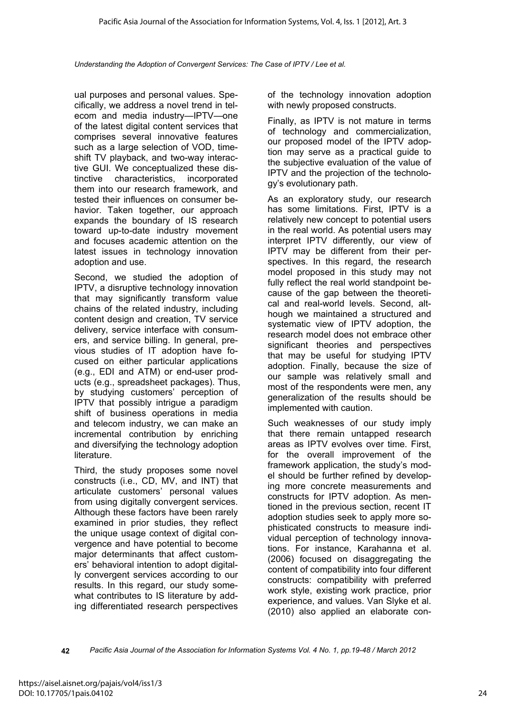ual purposes and personal values. Specifically, we address a novel trend in telecom and media industry—IPTV—one of the latest digital content services that comprises several innovative features such as a large selection of VOD, timeshift TV playback, and two-way interactive GUI. We conceptualized these distinctive characteristics, incorporated them into our research framework, and tested their influences on consumer behavior. Taken together, our approach expands the boundary of IS research toward up-to-date industry movement and focuses academic attention on the latest issues in technology innovation adoption and use.

Second, we studied the adoption of IPTV, a disruptive technology innovation that may significantly transform value chains of the related industry, including content design and creation, TV service delivery, service interface with consumers, and service billing. In general, previous studies of IT adoption have focused on either particular applications (e.g., EDI and ATM) or end-user products (e.g., spreadsheet packages). Thus, by studying customers' perception of IPTV that possibly intrigue a paradigm shift of business operations in media and telecom industry, we can make an incremental contribution by enriching and diversifying the technology adoption literature.

Third, the study proposes some novel constructs (i.e., CD, MV, and INT) that articulate customers' personal values from using digitally convergent services. Although these factors have been rarely examined in prior studies, they reflect the unique usage context of digital convergence and have potential to become major determinants that affect customers' behavioral intention to adopt digitally convergent services according to our results. In this regard, our study somewhat contributes to IS literature by adding differentiated research perspectives

of the technology innovation adoption with newly proposed constructs.

Finally, as IPTV is not mature in terms of technology and commercialization, our proposed model of the IPTV adoption may serve as a practical guide to the subjective evaluation of the value of IPTV and the projection of the technology's evolutionary path.

As an exploratory study, our research has some limitations. First, IPTV is a relatively new concept to potential users in the real world. As potential users may interpret IPTV differently, our view of IPTV may be different from their perspectives. In this regard, the research model proposed in this study may not fully reflect the real world standpoint because of the gap between the theoretical and real-world levels. Second, although we maintained a structured and systematic view of IPTV adoption, the research model does not embrace other significant theories and perspectives that may be useful for studying IPTV adoption. Finally, because the size of our sample was relatively small and most of the respondents were men, any generalization of the results should be implemented with caution.

Such weaknesses of our study imply that there remain untapped research areas as IPTV evolves over time. First, for the overall improvement of the framework application, the study's model should be further refined by developing more concrete measurements and constructs for IPTV adoption. As mentioned in the previous section, recent IT adoption studies seek to apply more sophisticated constructs to measure individual perception of technology innovations. For instance, Karahanna et al. (2006) focused on disaggregating the content of compatibility into four different constructs: compatibility with preferred work style, existing work practice, prior experience, and values. Van Slyke et al. (2010) also applied an elaborate con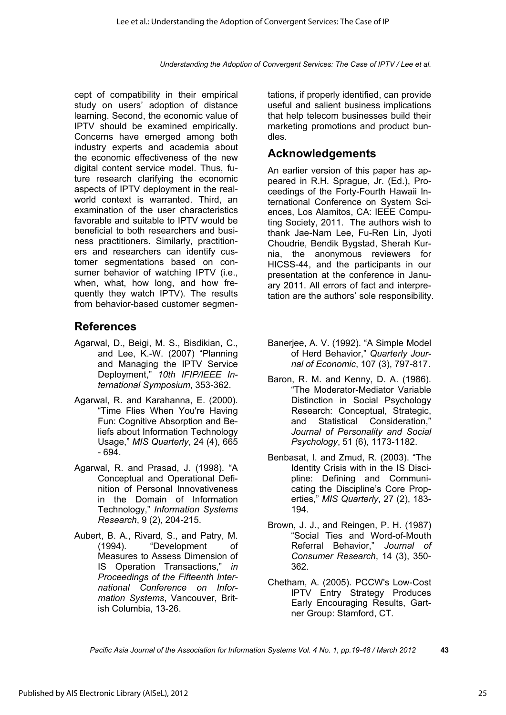cept of compatibility in their empirical study on users' adoption of distance learning. Second, the economic value of IPTV should be examined empirically. Concerns have emerged among both industry experts and academia about the economic effectiveness of the new digital content service model. Thus, future research clarifying the economic aspects of IPTV deployment in the realworld context is warranted. Third, an examination of the user characteristics favorable and suitable to IPTV would be beneficial to both researchers and business practitioners. Similarly, practitioners and researchers can identify customer segmentations based on consumer behavior of watching IPTV (i.e., when, what, how long, and how frequently they watch IPTV). The results from behavior-based customer segmen-

### **References**

- Agarwal, D., Beigi, M. S., Bisdikian, C., and Lee, K.-W. (2007) "Planning and Managing the IPTV Service Deployment," *10th IFIP/IEEE International Symposium*, 353-362.
- Agarwal, R. and Karahanna, E. (2000). "Time Flies When You're Having Fun: Cognitive Absorption and Beliefs about Information Technology Usage," *MIS Quarterly*, 24 (4), 665 - 694.
- Agarwal, R. and Prasad, J. (1998). "A Conceptual and Operational Definition of Personal Innovativeness in the Domain of Information Technology," *Information Systems Research*, 9 (2), 204-215.
- Aubert, B. A., Rivard, S., and Patry, M. (1994). "Development of Measures to Assess Dimension of IS Operation Transactions," *in Proceedings of the Fifteenth International Conference on Information Systems*, Vancouver, British Columbia, 13-26.

tations, if properly identified, can provide useful and salient business implications that help telecom businesses build their marketing promotions and product bundles.

### **Acknowledgements**

An earlier version of this paper has appeared in R.H. Sprague, Jr. (Ed.), Proceedings of the Forty-Fourth Hawaii International Conference on System Sciences, Los Alamitos, CA: IEEE Computing Society, 2011. The authors wish to thank Jae-Nam Lee, Fu-Ren Lin, Jyoti Choudrie, Bendik Bygstad, Sherah Kurnia, the anonymous reviewers for HICSS-44, and the participants in our presentation at the conference in January 2011. All errors of fact and interpretation are the authors' sole responsibility.

- Banerjee, A. V. (1992). "A Simple Model of Herd Behavior," *Quarterly Journal of Economic*, 107 (3), 797-817.
- Baron, R. M. and Kenny, D. A. (1986). "The Moderator-Mediator Variable Distinction in Social Psychology Research: Conceptual, Strategic, and Statistical Consideration," *Journal of Personality and Social Psychology*, 51 (6), 1173-1182.
- Benbasat, I. and Zmud, R. (2003). "The Identity Crisis with in the IS Discipline: Defining and Communicating the Discipline's Core Properties," *MIS Quarterly*, 27 (2), 183- 194.
- Brown, J. J., and Reingen, P. H. (1987) "Social Ties and Word-of-Mouth Referral Behavior," *Journal of Consumer Research*, 14 (3), 350- 362.
- Chetham, A. (2005). PCCW's Low-Cost IPTV Entry Strategy Produces Early Encouraging Results, Gartner Group: Stamford, CT.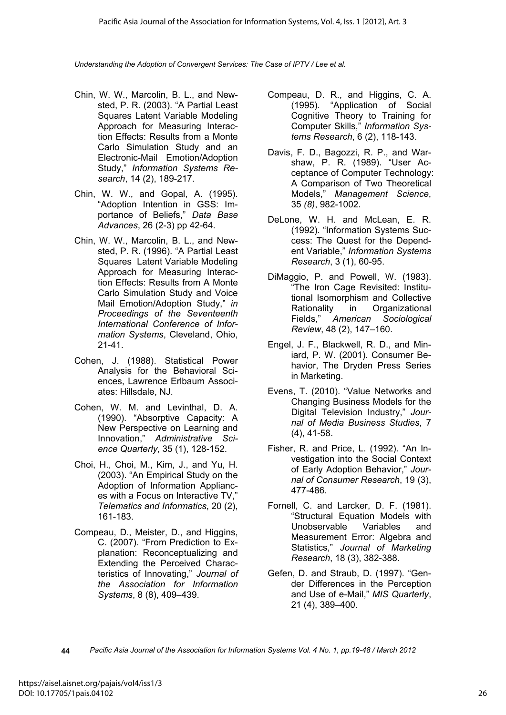- Chin, W. W., Marcolin, B. L., and Newsted, P. R. (2003). "A Partial Least Squares Latent Variable Modeling Approach for Measuring Interaction Effects: Results from a Monte Carlo Simulation Study and an Electronic-Mail Emotion/Adoption Study," *Information Systems Research*, 14 (2), 189-217.
- Chin, W. W., and Gopal, A. (1995). "Adoption Intention in GSS: Importance of Beliefs," *Data Base Advances*, 26 (2-3) pp 42-64.
- Chin, W. W., Marcolin, B. L., and Newsted, P. R. (1996). "A Partial Least Squares Latent Variable Modeling Approach for Measuring Interaction Effects: Results from A Monte Carlo Simulation Study and Voice Mail Emotion/Adoption Study," *in Proceedings of the Seventeenth International Conference of Information Systems*, Cleveland, Ohio, 21-41.
- Cohen, J. (1988). Statistical Power Analysis for the Behavioral Sciences, Lawrence Erlbaum Associates: Hillsdale, NJ.
- Cohen, W. M. and Levinthal, D. A. (1990). "Absorptive Capacity: A New Perspective on Learning and Innovation," *Administrative Science Quarterly*, 35 (1), 128-152.
- Choi, H., Choi, M., Kim, J., and Yu, H. (2003). "An Empirical Study on the Adoption of Information Appliances with a Focus on Interactive TV," *Telematics and Informatics*, 20 (2), 161-183.
- Compeau, D., Meister, D., and Higgins, C. (2007). "From Prediction to Explanation: Reconceptualizing and Extending the Perceived Characteristics of Innovating," *Journal of the Association for Information Systems*, 8 (8), 409–439.
- Compeau, D. R., and Higgins, C. A. (1995). "Application of Social Cognitive Theory to Training for Computer Skills," *Information Systems Research*, 6 (2), 118-143.
- Davis, F. D., Bagozzi, R. P., and Warshaw, P. R. (1989). "User Acceptance of Computer Technology: A Comparison of Two Theoretical Models," *Management Science*, 35 *(8)*, 982-1002.
- DeLone, W. H. and McLean, E. R. (1992). "Information Systems Success: The Quest for the Dependent Variable," *Information Systems Research*, 3 (1), 60-95.
- DiMaggio, P. and Powell, W. (1983). "The Iron Cage Revisited: Institutional Isomorphism and Collective Rationality in Organizational Fields," *American Sociological Review*, 48 (2), 147–160.
- Engel, J. F., Blackwell, R. D., and Miniard, P. W. (2001). Consumer Behavior, The Dryden Press Series in Marketing.
- Evens, T. (2010). "Value Networks and Changing Business Models for the Digital Television Industry," *Journal of Media Business Studies*, 7 (4), 41-58.
- Fisher, R. and Price, L. (1992). "An Investigation into the Social Context of Early Adoption Behavior," *Journal of Consumer Research*, 19 (3), 477-486.
- Fornell, C. and Larcker, D. F. (1981). "Structural Equation Models with Unobservable Variables and Measurement Error: Algebra and Statistics," *Journal of Marketing Research*, 18 (3), 382-388.
- Gefen, D. and Straub, D. (1997). "Gender Differences in the Perception and Use of e-Mail," *MIS Quarterly*, 21 (4), 389–400.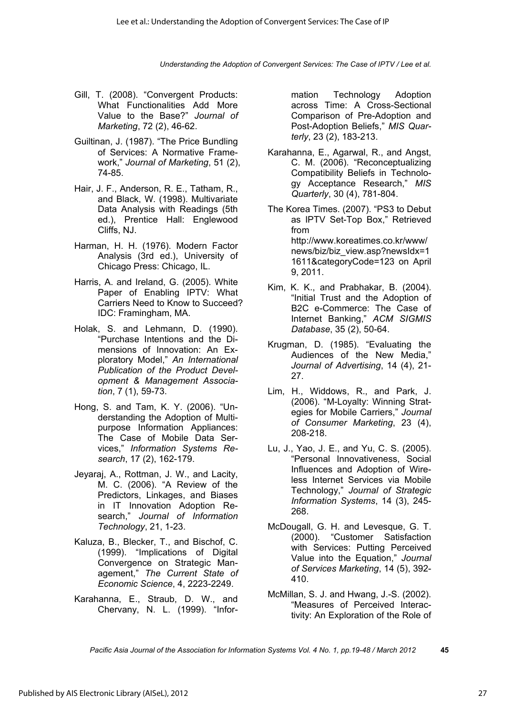- Gill, T. (2008). "Convergent Products: What Functionalities Add More Value to the Base?" *Journal of Marketing*, 72 (2), 46-62.
- Guiltinan, J. (1987). "The Price Bundling of Services: A Normative Framework," *Journal of Marketing*, 51 (2), 74-85.
- Hair, J. F., Anderson, R. E., Tatham, R., and Black, W. (1998). Multivariate Data Analysis with Readings (5th ed.), Prentice Hall: Englewood Cliffs, NJ.
- Harman, H. H. (1976). Modern Factor Analysis (3rd ed.), University of Chicago Press: Chicago, IL.
- Harris, A. and Ireland, G. (2005). White Paper of Enabling IPTV: What Carriers Need to Know to Succeed? IDC: Framingham, MA.
- Holak, S. and Lehmann, D. (1990). "Purchase Intentions and the Dimensions of Innovation: An Exploratory Model," *An International Publication of the Product Development & Management Association*, 7 (1), 59-73.
- Hong, S. and Tam, K. Y. (2006). "Understanding the Adoption of Multipurpose Information Appliances: The Case of Mobile Data Services," *Information Systems Research*, 17 (2), 162-179.
- Jeyaraj, A., Rottman, J. W., and Lacity, M. C. (2006). "A Review of the Predictors, Linkages, and Biases in IT Innovation Adoption Research," *Journal of Information Technology*, 21, 1-23.
- Kaluza, B., Blecker, T., and Bischof, C. (1999). "Implications of Digital Convergence on Strategic Management," *The Current State of Economic Science*, 4, 2223-2249.
- Karahanna, E., Straub, D. W., and Chervany, N. L. (1999). "Infor-

mation Technology Adoption across Time: A Cross-Sectional Comparison of Pre-Adoption and Post-Adoption Beliefs," *MIS Quarterly*, 23 (2), 183-213.

Karahanna, E., Agarwal, R., and Angst, C. M. (2006). "Reconceptualizing Compatibility Beliefs in Technology Acceptance Research," *MIS Quarterly*, 30 (4), 781-804.

The Korea Times. (2007). "PS3 to Debut as IPTV Set-Top Box," Retrieved from http://www.koreatimes.co.kr/www/ news/biz/biz\_view.asp?newsIdx=1 1611&categoryCode=123 on April 9, 2011.

- Kim, K. K., and Prabhakar, B. (2004). "Initial Trust and the Adoption of B2C e-Commerce: The Case of Internet Banking," *ACM SIGMIS Database*, 35 (2), 50-64.
- Krugman, D. (1985). "Evaluating the Audiences of the New Media," *Journal of Advertising*, 14 (4), 21- 27.
- Lim, H., Widdows, R., and Park, J. (2006). "M-Loyalty: Winning Strategies for Mobile Carriers," *Journal of Consumer Marketing*, 23 (4), 208-218.
- Lu, J., Yao, J. E., and Yu, C. S. (2005). "Personal Innovativeness, Social Influences and Adoption of Wireless Internet Services via Mobile Technology," *Journal of Strategic Information Systems*, 14 (3), 245- 268.
- McDougall, G. H. and Levesque, G. T. (2000). "Customer Satisfaction with Services: Putting Perceived Value into the Equation," *Journal of Services Marketing*, 14 (5), 392- 410.
- McMillan, S. J. and Hwang, J.-S. (2002). "Measures of Perceived Interactivity: An Exploration of the Role of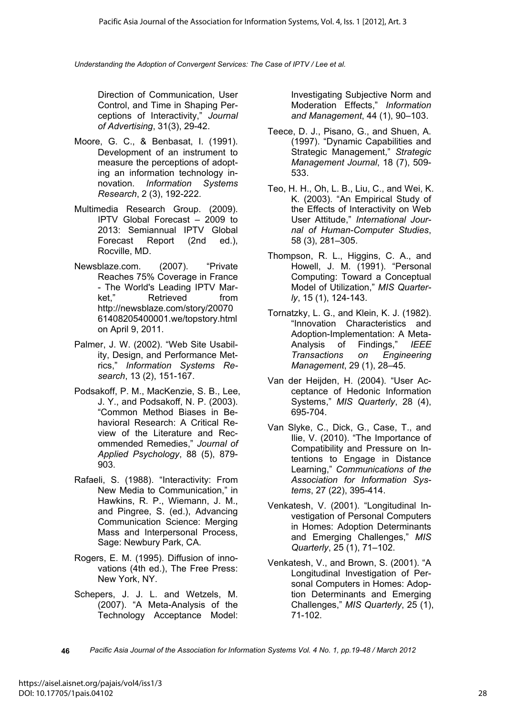Direction of Communication, User Control, and Time in Shaping Perceptions of Interactivity," *Journal of Advertising*, 31(3), 29-42.

- Moore, G. C., & Benbasat, I. (1991). Development of an instrument to measure the perceptions of adopting an information technology innovation. *Information Systems Research*, 2 (3), 192-222.
- Multimedia Research Group. (2009). IPTV Global Forecast – 2009 to 2013: Semiannual IPTV Global Forecast Report (2nd ed.), Rocville, MD.
- Newsblaze.com. (2007). "Private Reaches 75% Coverage in France - The World's Leading IPTV Market," Retrieved from http://newsblaze.com/story/20070 61408205400001.we/topstory.html on April 9, 2011.
- Palmer, J. W. (2002). "Web Site Usability, Design, and Performance Metrics," *Information Systems Research*, 13 (2), 151-167.
- Podsakoff, P. M., MacKenzie, S. B., Lee, J. Y., and Podsakoff, N. P. (2003). "Common Method Biases in Behavioral Research: A Critical Review of the Literature and Recommended Remedies," *Journal of Applied Psychology*, 88 (5), 879- 903.
- Rafaeli, S. (1988). "Interactivity: From New Media to Communication," in Hawkins, R. P., Wiemann, J. M., and Pingree, S. (ed.), Advancing Communication Science: Merging Mass and Interpersonal Process, Sage: Newbury Park, CA.
- Rogers, E. M. (1995). Diffusion of innovations (4th ed.), The Free Press: New York, NY.
- Schepers, J. J. L. and Wetzels, M. (2007). "A Meta-Analysis of the Technology Acceptance Model:

Investigating Subjective Norm and Moderation Effects," *Information and Management*, 44 (1), 90–103.

- Teece, D. J., Pisano, G., and Shuen, A. (1997). "Dynamic Capabilities and Strategic Management," *Strategic Management Journal*, 18 (7), 509- 533.
- Teo, H. H., Oh, L. B., Liu, C., and Wei, K. K. (2003). "An Empirical Study of the Effects of Interactivity on Web User Attitude," *International Journal of Human-Computer Studies*, 58 (3), 281–305.
- Thompson, R. L., Higgins, C. A., and Howell, J. M. (1991). "Personal Computing: Toward a Conceptual Model of Utilization," *MIS Quarterly*, 15 (1), 124-143.
- Tornatzky, L. G., and Klein, K. J. (1982). "Innovation Characteristics and Adoption-Implementation: A Meta-Analysis of Findings," *IEEE Transactions on Engineering Management*, 29 (1), 28–45.
- Van der Heijden, H. (2004). "User Acceptance of Hedonic Information Systems," *MIS Quarterly*, 28 (4), 695-704.
- Van Slyke, C., Dick, G., Case, T., and Ilie, V. (2010). "The Importance of Compatibility and Pressure on Intentions to Engage in Distance Learning," *Communications of the Association for Information Systems*, 27 (22), 395-414.
- Venkatesh, V. (2001). "Longitudinal Investigation of Personal Computers in Homes: Adoption Determinants and Emerging Challenges," *MIS Quarterly*, 25 (1), 71–102.
- Venkatesh, V., and Brown, S. (2001). "A Longitudinal Investigation of Personal Computers in Homes: Adoption Determinants and Emerging Challenges," *MIS Quarterly*, 25 (1), 71-102.
- **46** *Pacific Asia Journal of the Association for Information Systems Vol. 4 No. 1, pp.19-48 / March 2012*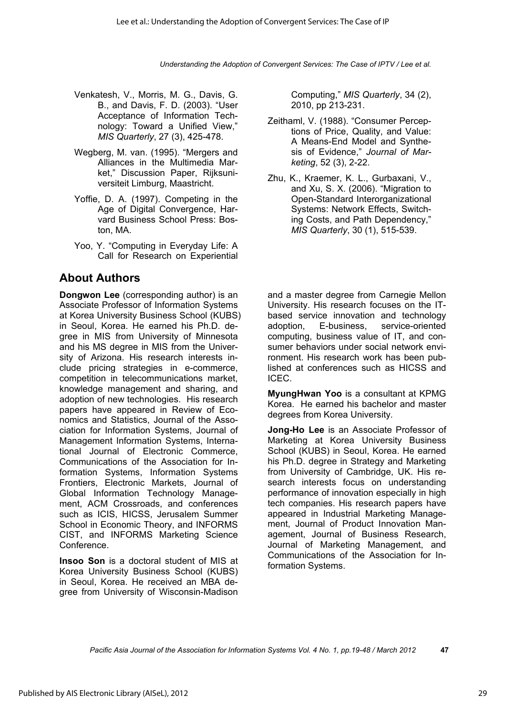- Venkatesh, V., Morris, M. G., Davis, G. B., and Davis, F. D. (2003). "User Acceptance of Information Technology: Toward a Unified View," *MIS Quarterly*, 27 (3), 425-478.
- Wegberg, M. van. (1995). "Mergers and Alliances in the Multimedia Market," Discussion Paper, Rijksuniversiteit Limburg, Maastricht.
- Yoffie, D. A. (1997). Competing in the Age of Digital Convergence, Harvard Business School Press: Boston, MA.
- Yoo, Y. "Computing in Everyday Life: A Call for Research on Experiential

# **About Authors**

**Dongwon Lee** (corresponding author) is an Associate Professor of Information Systems at Korea University Business School (KUBS) in Seoul, Korea. He earned his Ph.D. degree in MIS from University of Minnesota and his MS degree in MIS from the University of Arizona. His research interests include pricing strategies in e-commerce, competition in telecommunications market, knowledge management and sharing, and adoption of new technologies. His research papers have appeared in Review of Economics and Statistics, Journal of the Association for Information Systems, Journal of Management Information Systems, International Journal of Electronic Commerce, Communications of the Association for Information Systems, Information Systems Frontiers, Electronic Markets, Journal of Global Information Technology Management, ACM Crossroads, and conferences such as ICIS, HICSS, Jerusalem Summer School in Economic Theory, and INFORMS CIST, and INFORMS Marketing Science Conference.

**Insoo Son** is a doctoral student of MIS at Korea University Business School (KUBS) in Seoul, Korea. He received an MBA degree from University of Wisconsin-Madison Computing," *MIS Quarterly*, 34 (2), 2010, pp 213-231.

- Zeithaml, V. (1988). "Consumer Perceptions of Price, Quality, and Value: A Means-End Model and Synthesis of Evidence," *Journal of Marketing*, 52 (3), 2-22.
- Zhu, K., Kraemer, K. L., Gurbaxani, V., and Xu, S. X. (2006). "Migration to Open-Standard Interorganizational Systems: Network Effects, Switching Costs, and Path Dependency," *MIS Quarterly*, 30 (1), 515-539.

and a master degree from Carnegie Mellon University. His research focuses on the ITbased service innovation and technology adoption, E-business, service-oriented computing, business value of IT, and consumer behaviors under social network environment. His research work has been published at conferences such as HICSS and ICEC.

**MyungHwan Yoo** is a consultant at KPMG Korea. He earned his bachelor and master degrees from Korea University.

**Jong-Ho Lee** is an Associate Professor of Marketing at Korea University Business School (KUBS) in Seoul, Korea. He earned his Ph.D. degree in Strategy and Marketing from University of Cambridge, UK. His research interests focus on understanding performance of innovation especially in high tech companies. His research papers have appeared in Industrial Marketing Management, Journal of Product Innovation Management, Journal of Business Research, Journal of Marketing Management, and Communications of the Association for Information Systems.